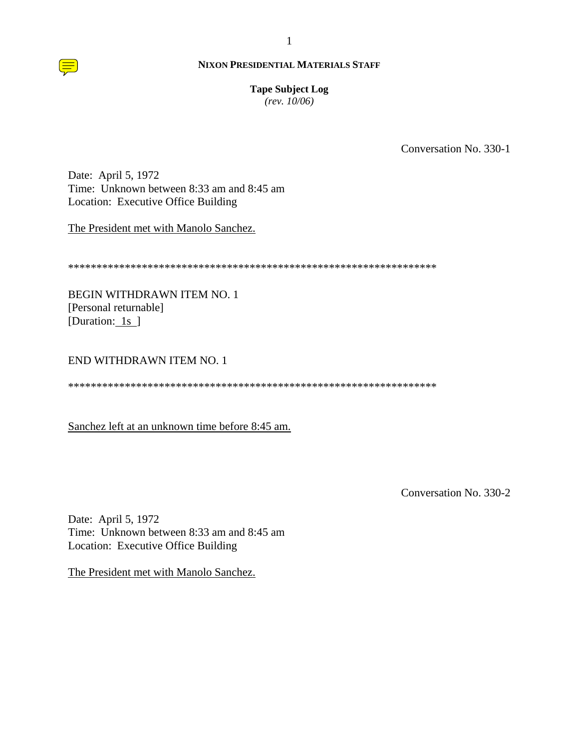**Tape Subject Log** 

 $(rev. 10/06)$ 

Conversation No. 330-1

Date: April 5, 1972 Time: Unknown between 8:33 am and 8:45 am Location: Executive Office Building

The President met with Manolo Sanchez.

**BEGIN WITHDRAWN ITEM NO. 1** [Personal returnable] [Duration: 1s ]

# END WITHDRAWN ITEM NO. 1

Sanchez left at an unknown time before 8:45 am.

Conversation No. 330-2

Date: April 5, 1972 Time: Unknown between 8:33 am and 8:45 am Location: Executive Office Building

The President met with Manolo Sanchez.

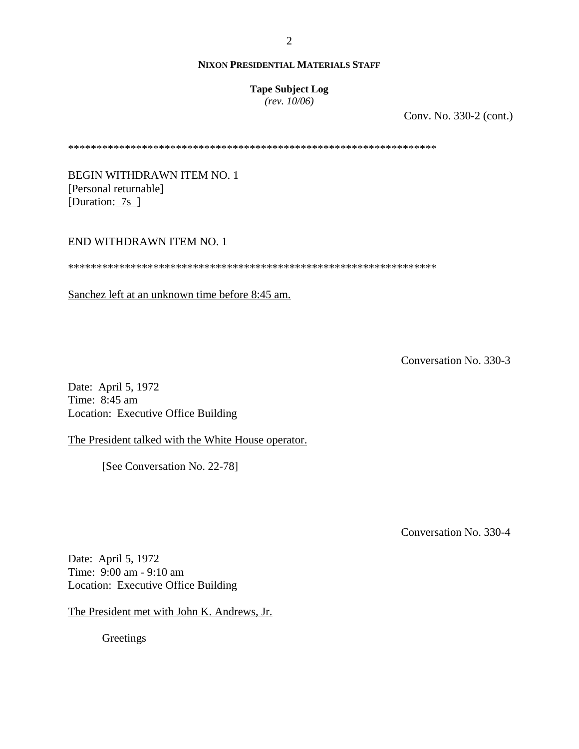## **Tape Subject Log**

*(rev. 10/06)*

Conv. No. 330-2 (cont.)

\*\*\*\*\*\*\*\*\*\*\*\*\*\*\*\*\*\*\*\*\*\*\*\*\*\*\*\*\*\*\*\*\*\*\*\*\*\*\*\*\*\*\*\*\*\*\*\*\*\*\*\*\*\*\*\*\*\*\*\*\*\*\*\*\*

BEGIN WITHDRAWN ITEM NO. 1 [Personal returnable] [Duration: 7s ]

## END WITHDRAWN ITEM NO. 1

\*\*\*\*\*\*\*\*\*\*\*\*\*\*\*\*\*\*\*\*\*\*\*\*\*\*\*\*\*\*\*\*\*\*\*\*\*\*\*\*\*\*\*\*\*\*\*\*\*\*\*\*\*\*\*\*\*\*\*\*\*\*\*\*\*

Sanchez left at an unknown time before 8:45 am.

Conversation No. 330-3

Date: April 5, 1972 Time: 8:45 am Location: Executive Office Building

The President talked with the White House operator.

[See Conversation No. 22-78]

Conversation No. 330-4

Date: April 5, 1972 Time: 9:00 am - 9:10 am Location: Executive Office Building

The President met with John K. Andrews, Jr.

**Greetings**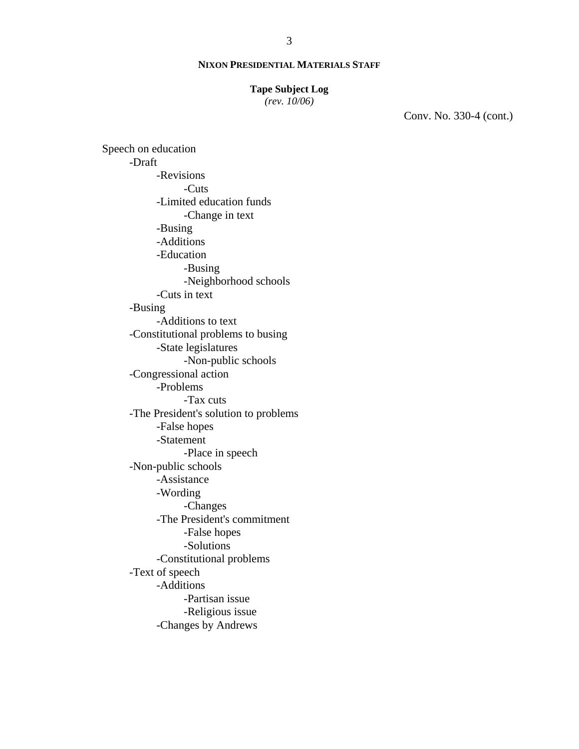#### **Tape Subject Log**

*(rev. 10/06)*

Conv. No. 330-4 (cont.)

Speech on education -Draft -Revisions -Cuts -Limited education funds -Change in text -Busing -Additions -Education -Busing -Neighborhood schools -Cuts in text -Busing -Additions to text -Constitutional problems to busing -State legislatures -Non-public schools -Congressional action -Problems -Tax cuts -The President's solution to problems -False hopes -Statement -Place in speech -Non-public schools -Assistance -Wording -Changes -The President's commitment -False hopes -Solutions -Constitutional problems -Text of speech -Additions -Partisan issue -Religious issue -Changes by Andrews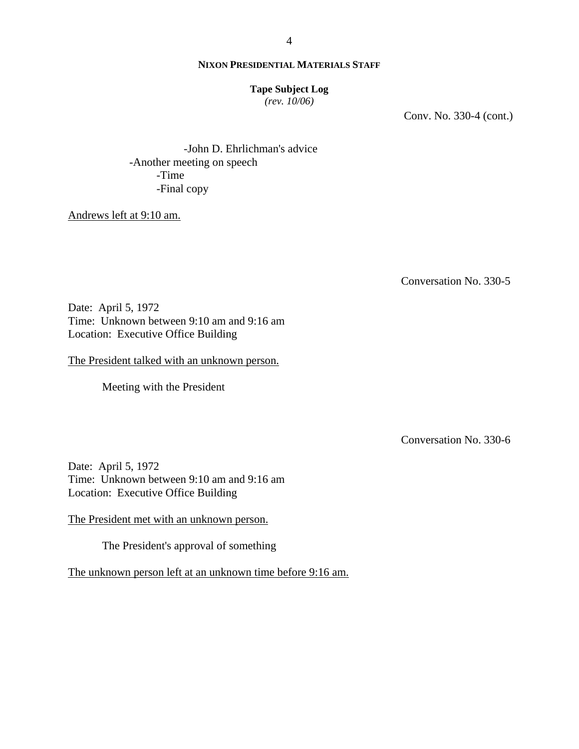### **Tape Subject Log**

*(rev. 10/06)*

Conv. No. 330-4 (cont.)

-John D. Ehrlichman's advice -Another meeting on speech -Time -Final copy

Andrews left at 9:10 am.

Conversation No. 330-5

Date: April 5, 1972 Time: Unknown between 9:10 am and 9:16 am Location: Executive Office Building

The President talked with an unknown person.

Meeting with the President

Conversation No. 330-6

Date: April 5, 1972 Time: Unknown between 9:10 am and 9:16 am Location: Executive Office Building

The President met with an unknown person.

The President's approval of something

The unknown person left at an unknown time before 9:16 am.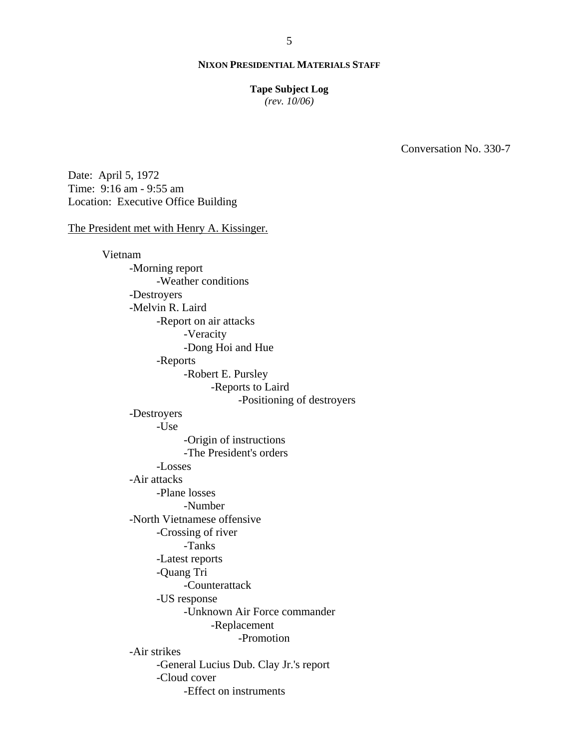#### **Tape Subject Log**

*(rev. 10/06)*

Conversation No. 330-7

Date: April 5, 1972 Time: 9:16 am - 9:55 am Location: Executive Office Building

#### The President met with Henry A. Kissinger.

Vietnam -Morning report -Weather conditions -Destroyers -Melvin R. Laird -Report on air attacks -Veracity -Dong Hoi and Hue -Reports -Robert E. Pursley -Reports to Laird -Positioning of destroyers -Destroyers -Use -Origin of instructions -The President's orders -Losses -Air attacks -Plane losses -Number -North Vietnamese offensive -Crossing of river -Tanks -Latest reports -Quang Tri -Counterattack -US response -Unknown Air Force commander -Replacement -Promotion -Air strikes -General Lucius Dub. Clay Jr.'s report -Cloud cover -Effect on instruments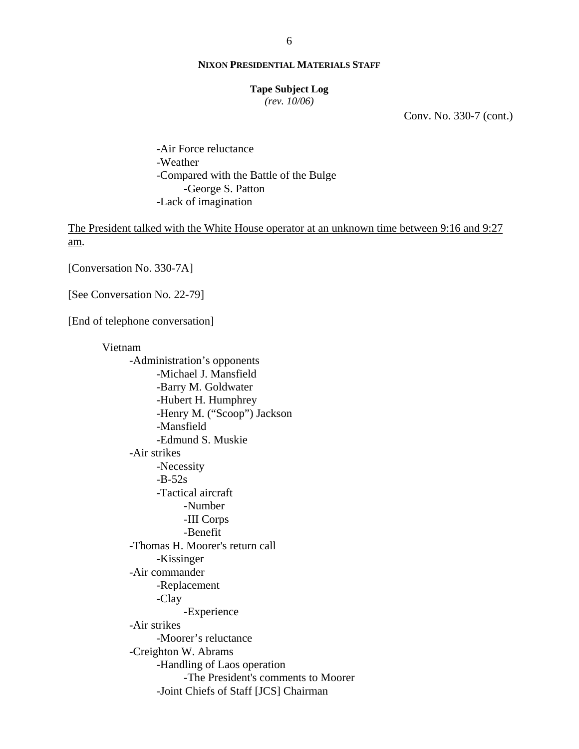#### **Tape Subject Log**

*(rev. 10/06)*

Conv. No. 330-7 (cont.)

-Air Force reluctance -Weather -Compared with the Battle of the Bulge -George S. Patton -Lack of imagination

The President talked with the White House operator at an unknown time between 9:16 and 9:27 am.

[Conversation No. 330-7A]

[See Conversation No. 22-79]

[End of telephone conversation]

Vietnam -Administration's opponents -Michael J. Mansfield -Barry M. Goldwater -Hubert H. Humphrey -Henry M. ("Scoop") Jackson -Mansfield -Edmund S. Muskie -Air strikes -Necessity  $-B-52s$ -Tactical aircraft -Number -III Corps -Benefit -Thomas H. Moorer's return call -Kissinger -Air commander -Replacement -Clay -Experience -Air strikes -Moorer's reluctance -Creighton W. Abrams -Handling of Laos operation -The President's comments to Moorer -Joint Chiefs of Staff [JCS] Chairman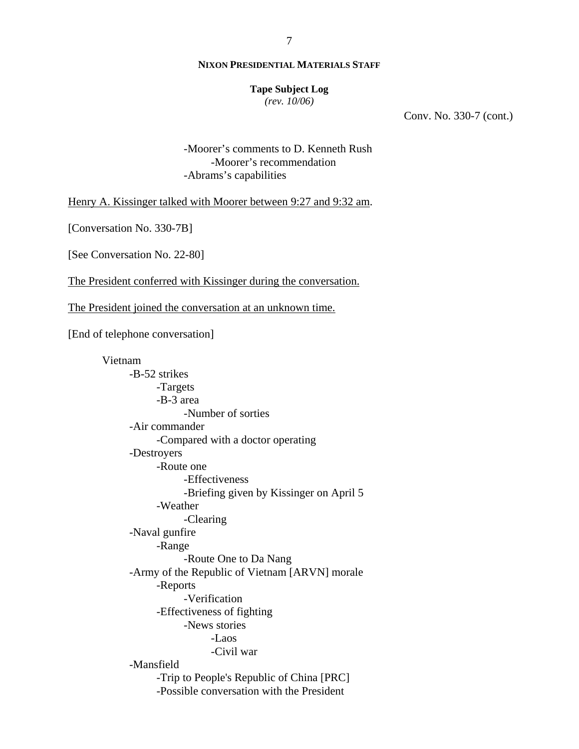#### **Tape Subject Log**

*(rev. 10/06)*

Conv. No. 330-7 (cont.)

-Moorer's comments to D. Kenneth Rush -Moorer's recommendation -Abrams's capabilities

Henry A. Kissinger talked with Moorer between 9:27 and 9:32 am.

[Conversation No. 330-7B]

[See Conversation No. 22-80]

The President conferred with Kissinger during the conversation.

The President joined the conversation at an unknown time.

[End of telephone conversation]

Vietnam -B-52 strikes -Targets -B-3 area -Number of sorties -Air commander -Compared with a doctor operating -Destroyers -Route one -Effectiveness -Briefing given by Kissinger on April 5 -Weather -Clearing -Naval gunfire -Range -Route One to Da Nang -Army of the Republic of Vietnam [ARVN] morale -Reports -Verification -Effectiveness of fighting -News stories -Laos -Civil war -Mansfield -Trip to People's Republic of China [PRC] -Possible conversation with the President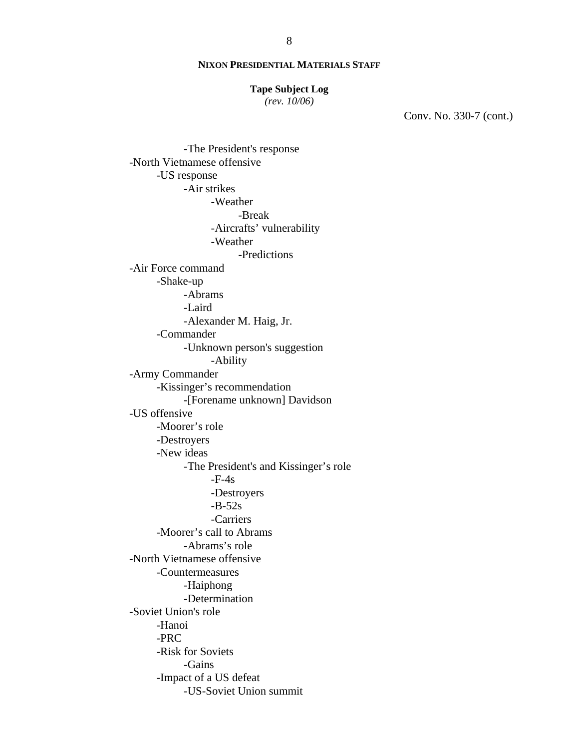#### **Tape Subject Log**

*(rev. 10/06)*

Conv. No. 330-7 (cont.)

-The President's response -North Vietnamese offensive -US response -Air strikes -Weather -Break -Aircrafts' vulnerability -Weather -Predictions -Air Force command -Shake-up -Abrams -Laird -Alexander M. Haig, Jr. -Commander -Unknown person's suggestion -Ability -Army Commander -Kissinger's recommendation -[Forename unknown] Davidson -US offensive -Moorer's role -Destroyers -New ideas -The President's and Kissinger's role  $-F-4s$ -Destroyers -B-52s -Carriers -Moorer's call to Abrams -Abrams's role -North Vietnamese offensive -Countermeasures -Haiphong -Determination -Soviet Union's role -Hanoi -PRC -Risk for Soviets -Gains -Impact of a US defeat -US-Soviet Union summit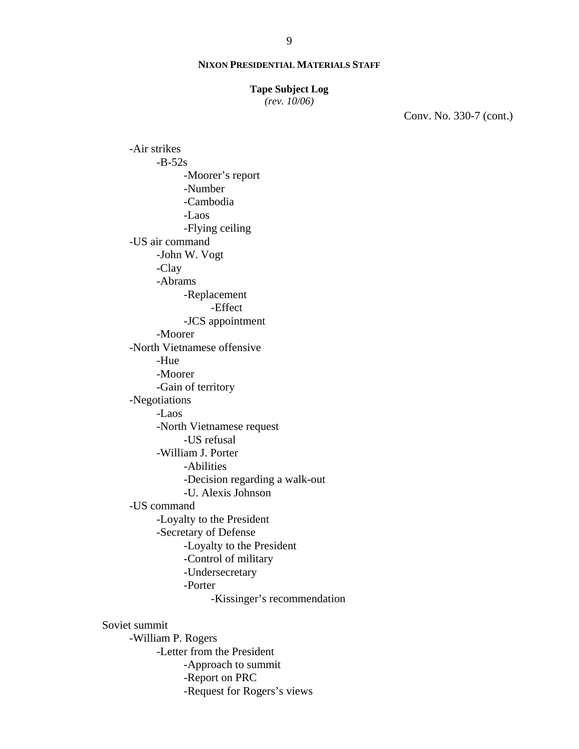#### **Tape Subject Log**

*(rev. 10/06)*

Conv. No. 330-7 (cont.)

-Air strikes  $-B-52s$ -Moorer's report -Number -Cambodia -Laos -Flying ceiling -US air command -John W. Vogt -Clay -Abrams -Replacement -Effect -JCS appointment -Moorer -North Vietnamese offensive -Hue -Moorer -Gain of territory -Negotiations -Laos -North Vietnamese request -US refusal -William J. Porter -Abilities -Decision regarding a walk-out -U. Alexis Johnson -US command -Loyalty to the President -Secretary of Defense -Loyalty to the President -Control of military -Undersecretary -Porter -Kissinger's recommendation Soviet summit -William P. Rogers -Letter from the President -Approach to summit

- -Report on PRC
- -Request for Rogers's views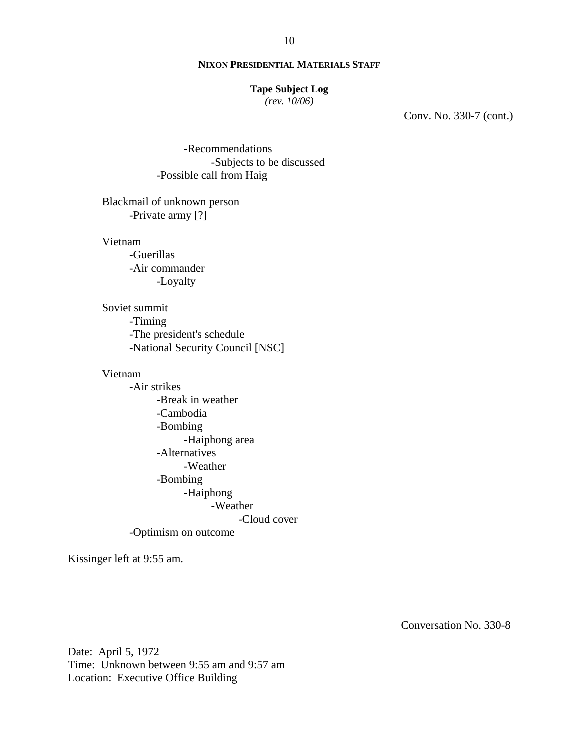### **Tape Subject Log**

*(rev. 10/06)*

Conv. No. 330-7 (cont.)

-Recommendations -Subjects to be discussed -Possible call from Haig

# Blackmail of unknown person -Private army [?]

Vietnam

-Guerillas -Air commander -Loyalty

Soviet summit -Timing -The president's schedule -National Security Council [NSC]

#### Vietnam

-Air strikes -Break in weather -Cambodia -Bombing -Haiphong area -Alternatives -Weather -Bombing -Haiphong -Weather -Cloud cover -Optimism on outcome

Kissinger left at 9:55 am.

Conversation No. 330-8

Date: April 5, 1972 Time: Unknown between 9:55 am and 9:57 am Location: Executive Office Building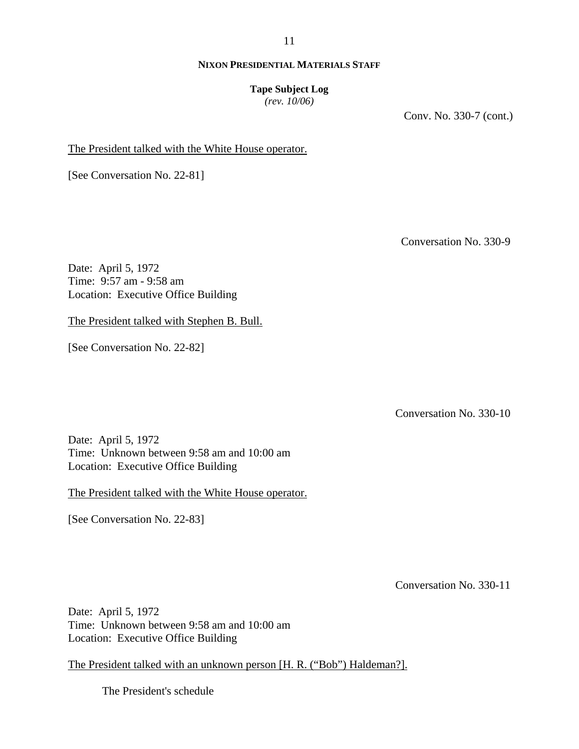11

## **NIXON PRESIDENTIAL MATERIALS STAFF**

## **Tape Subject Log**

*(rev. 10/06)*

Conv. No. 330-7 (cont.)

The President talked with the White House operator.

[See Conversation No. 22-81]

Conversation No. 330-9

Date: April 5, 1972 Time: 9:57 am - 9:58 am Location: Executive Office Building

The President talked with Stephen B. Bull.

[See Conversation No. 22-82]

Conversation No. 330-10

Date: April 5, 1972 Time: Unknown between 9:58 am and 10:00 am Location: Executive Office Building

The President talked with the White House operator.

[See Conversation No. 22-83]

Conversation No. 330-11

Date: April 5, 1972 Time: Unknown between 9:58 am and 10:00 am Location: Executive Office Building

The President talked with an unknown person [H. R. ("Bob") Haldeman?].

The President's schedule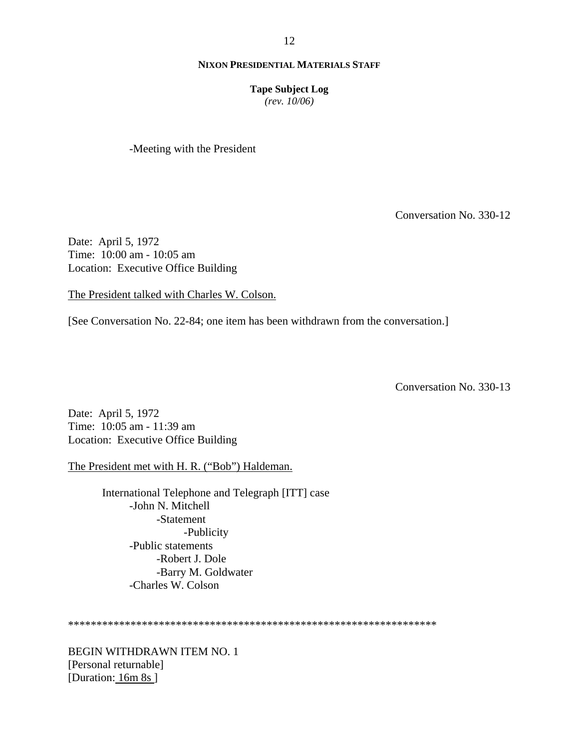**Tape Subject Log**

*(rev. 10/06)*

-Meeting with the President

Conversation No. 330-12

Date: April 5, 1972 Time: 10:00 am - 10:05 am Location: Executive Office Building

The President talked with Charles W. Colson.

[See Conversation No. 22-84; one item has been withdrawn from the conversation.]

Conversation No. 330-13

Date: April 5, 1972 Time: 10:05 am - 11:39 am Location: Executive Office Building

The President met with H. R. ("Bob") Haldeman.

International Telephone and Telegraph [ITT] case -John N. Mitchell -Statement -Publicity -Public statements -Robert J. Dole -Barry M. Goldwater -Charles W. Colson

\*\*\*\*\*\*\*\*\*\*\*\*\*\*\*\*\*\*\*\*\*\*\*\*\*\*\*\*\*\*\*\*\*\*\*\*\*\*\*\*\*\*\*\*\*\*\*\*\*\*\*\*\*\*\*\*\*\*\*\*\*\*\*\*\*

BEGIN WITHDRAWN ITEM NO. 1 [Personal returnable] [Duration: 16m 8s]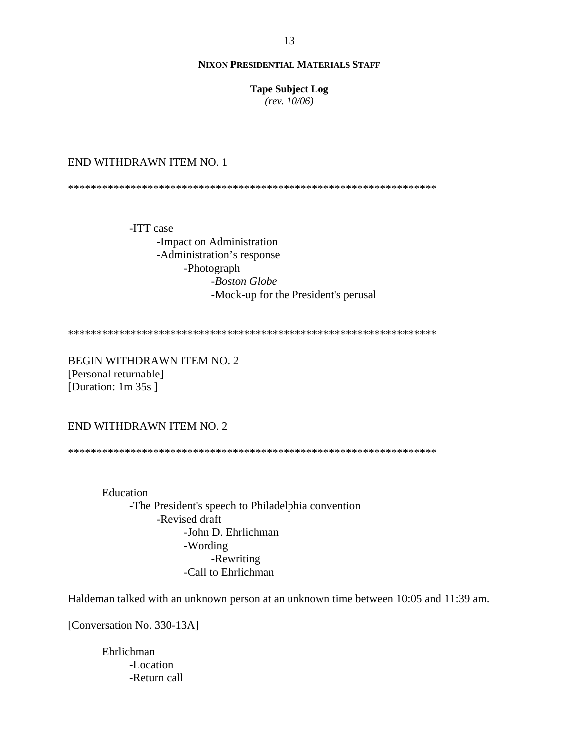**Tape Subject Log**  $(rev. 10/06)$ 

### END WITHDRAWN ITEM NO. 1

-ITT case -Impact on Administration -Administration's response -Photograph -Boston Globe -Mock-up for the President's perusal

**BEGIN WITHDRAWN ITEM NO. 2** [Personal returnable] [Duration:  $1m 35s$ ]

# END WITHDRAWN ITEM NO. 2

Education -The President's speech to Philadelphia convention -Revised draft -John D. Ehrlichman -Wording -Rewriting -Call to Ehrlichman

Haldeman talked with an unknown person at an unknown time between 10:05 and 11:39 am.

[Conversation No. 330-13A]

Ehrlichman -Location -Return call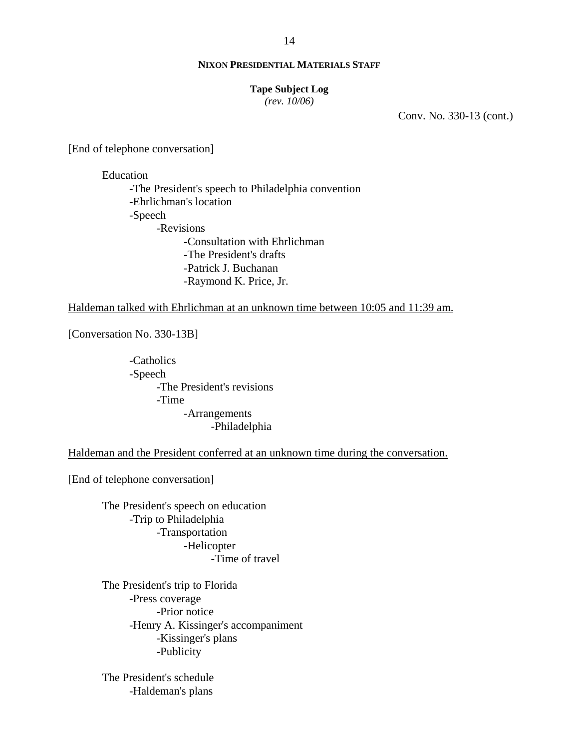#### **Tape Subject Log**

*(rev. 10/06)*

Conv. No. 330-13 (cont.)

[End of telephone conversation]

Education

-The President's speech to Philadelphia convention -Ehrlichman's location -Speech -Revisions -Consultation with Ehrlichman -The President's drafts -Patrick J. Buchanan -Raymond K. Price, Jr.

Haldeman talked with Ehrlichman at an unknown time between 10:05 and 11:39 am.

[Conversation No. 330-13B]

-Catholics -Speech -The President's revisions -Time -Arrangements -Philadelphia

Haldeman and the President conferred at an unknown time during the conversation.

[End of telephone conversation]

The President's speech on education -Trip to Philadelphia -Transportation -Helicopter -Time of travel

The President's trip to Florida -Press coverage -Prior notice -Henry A. Kissinger's accompaniment -Kissinger's plans -Publicity

The President's schedule -Haldeman's plans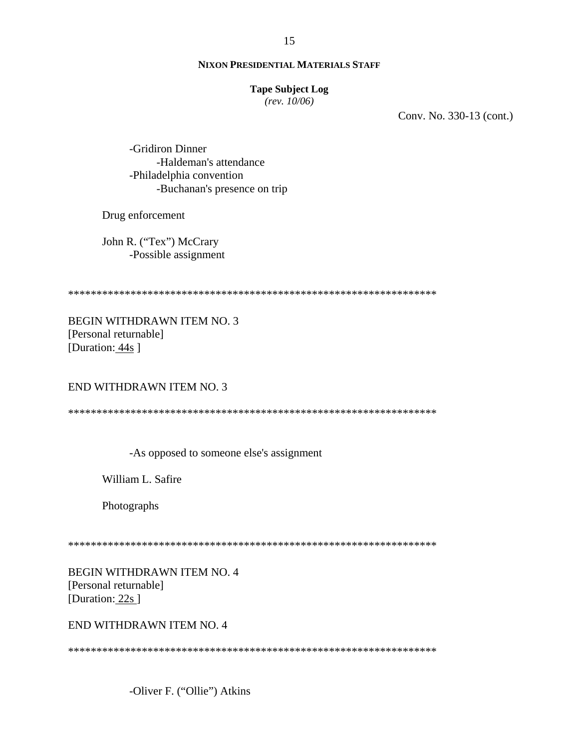#### **Tape Subject Log**

 $(rev. 10/06)$ 

Conv. No. 330-13 (cont.)

-Gridiron Dinner -Haldeman's attendance -Philadelphia convention -Buchanan's presence on trip

Drug enforcement

John R. ("Tex") McCrary -Possible assignment

**BEGIN WITHDRAWN ITEM NO. 3** [Personal returnable] [Duration: 44s]

END WITHDRAWN ITEM NO. 3

-As opposed to someone else's assignment

William L. Safire

Photographs

**BEGIN WITHDRAWN ITEM NO. 4** [Personal returnable] [Duration: 22s]

END WITHDRAWN ITEM NO. 4

-Oliver F. ("Ollie") Atkins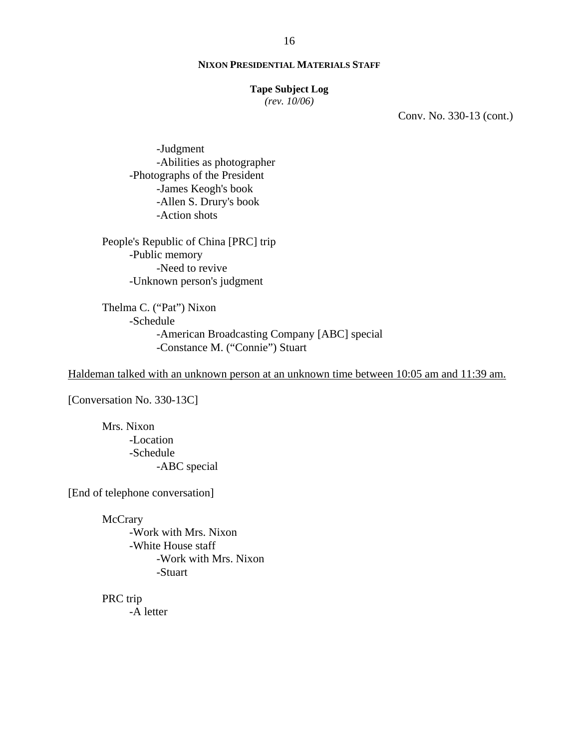#### **Tape Subject Log**

*(rev. 10/06)*

Conv. No. 330-13 (cont.)

-Judgment -Abilities as photographer -Photographs of the President -James Keogh's book -Allen S. Drury's book -Action shots

People's Republic of China [PRC] trip -Public memory -Need to revive -Unknown person's judgment

Thelma C. ("Pat") Nixon -Schedule -American Broadcasting Company [ABC] special -Constance M. ("Connie") Stuart

Haldeman talked with an unknown person at an unknown time between 10:05 am and 11:39 am.

[Conversation No. 330-13C]

Mrs. Nixon -Location -Schedule -ABC special

[End of telephone conversation]

**McCrary** -Work with Mrs. Nixon -White House staff -Work with Mrs. Nixon -Stuart

PRC trip -A letter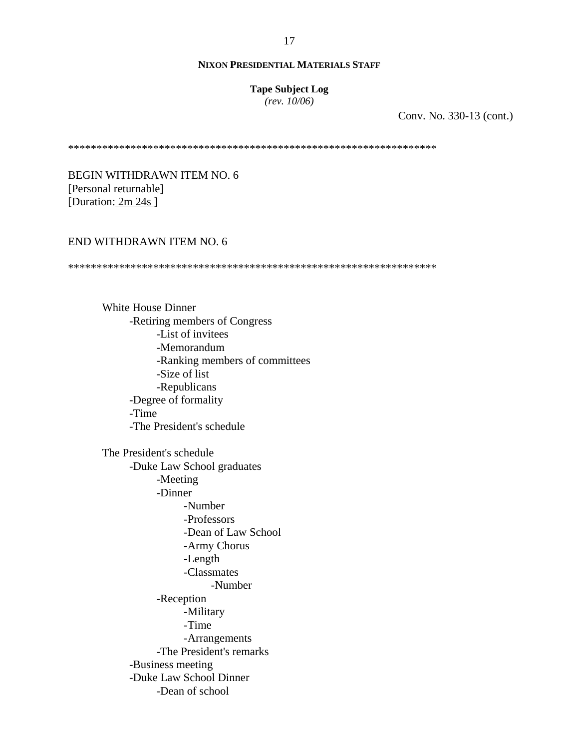#### **Tape Subject Log**

*(rev. 10/06)*

Conv. No. 330-13 (cont.)

\*\*\*\*\*\*\*\*\*\*\*\*\*\*\*\*\*\*\*\*\*\*\*\*\*\*\*\*\*\*\*\*\*\*\*\*\*\*\*\*\*\*\*\*\*\*\*\*\*\*\*\*\*\*\*\*\*\*\*\*\*\*\*\*\*

BEGIN WITHDRAWN ITEM NO. 6 [Personal returnable] [Duration: 2m 24s]

## END WITHDRAWN ITEM NO. 6

\*\*\*\*\*\*\*\*\*\*\*\*\*\*\*\*\*\*\*\*\*\*\*\*\*\*\*\*\*\*\*\*\*\*\*\*\*\*\*\*\*\*\*\*\*\*\*\*\*\*\*\*\*\*\*\*\*\*\*\*\*\*\*\*\*

White House Dinner -Retiring members of Congress -List of invitees -Memorandum -Ranking members of committees -Size of list -Republicans -Degree of formality -Time -The President's schedule

The President's schedule -Duke Law School graduates -Meeting -Dinner -Number -Professors -Dean of Law School -Army Chorus -Length -Classmates -Number -Reception -Military -Time -Arrangements -The President's remarks -Business meeting -Duke Law School Dinner -Dean of school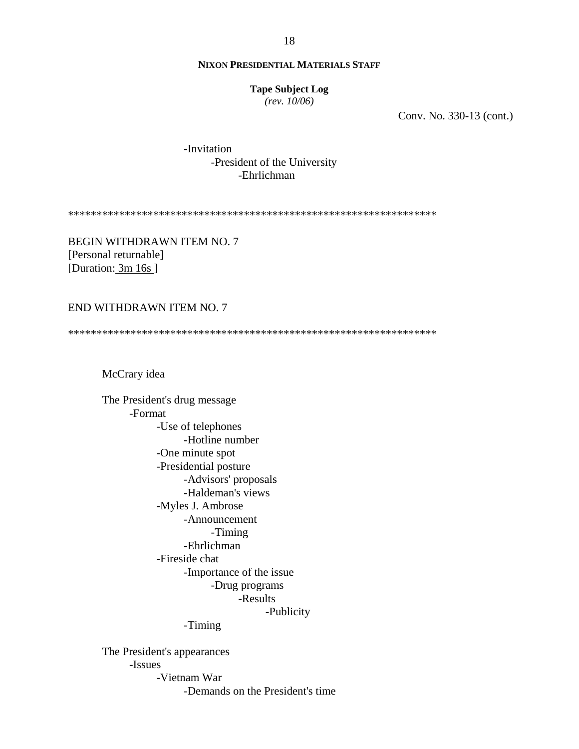**Tape Subject Log** 

 $(rev. 10/06)$ 

Conv. No. 330-13 (cont.)

-Invitation -President of the University -Ehrlichman

**BEGIN WITHDRAWN ITEM NO. 7** [Personal returnable] [Duration: 3m 16s]

## END WITHDRAWN ITEM NO. 7

McCrary idea

The President's drug message -Format -Use of telephones -Hotline number -One minute spot -Presidential posture -Advisors' proposals -Haldeman's views -Myles J. Ambrose -Announcement -Timing -Ehrlichman -Fireside chat -Importance of the issue -Drug programs -Results -Publicity -Timing The President's appearances -Issues -Vietnam War

-Demands on the President's time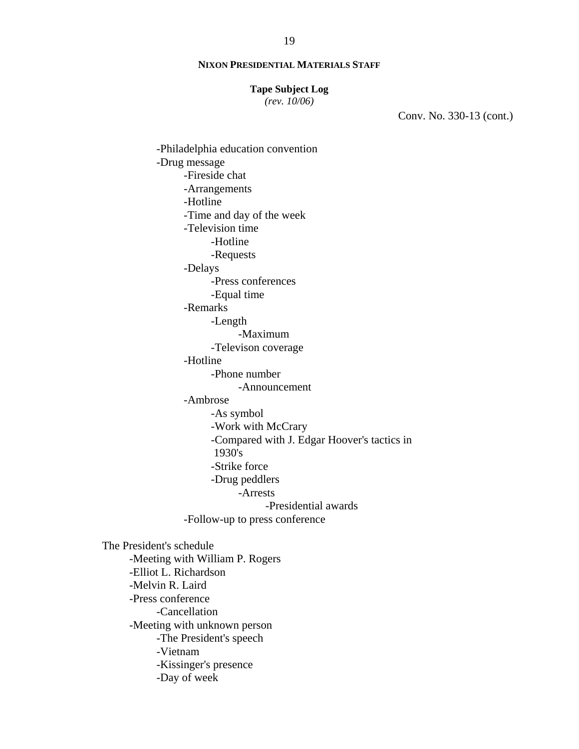#### **Tape Subject Log**

*(rev. 10/06)*

Conv. No. 330-13 (cont.)

-Philadelphia education convention -Drug message -Fireside chat -Arrangements -Hotline -Time and day of the week -Television time -Hotline -Requests -Delays -Press conferences -Equal time -Remarks -Length -Maximum -Televison coverage -Hotline -Phone number -Announcement -Ambrose -As symbol -Work with McCrary -Compared with J. Edgar Hoover's tactics in 1930's -Strike force -Drug peddlers -Arrests -Presidential awards -Follow-up to press conference The President's schedule -Meeting with William P. Rogers -Elliot L. Richardson -Melvin R. Laird -Press conference -Cancellation -Meeting with unknown person -The President's speech -Vietnam -Kissinger's presence -Day of week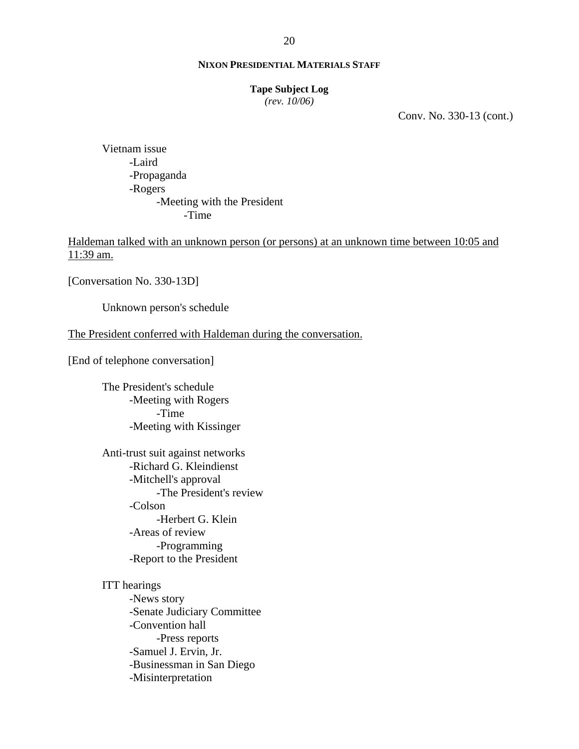#### **Tape Subject Log**

*(rev. 10/06)*

Conv. No. 330-13 (cont.)

Vietnam issue -Laird -Propaganda -Rogers -Meeting with the President -Time

Haldeman talked with an unknown person (or persons) at an unknown time between 10:05 and 11:39 am.

[Conversation No. 330-13D]

Unknown person's schedule

## The President conferred with Haldeman during the conversation.

[End of telephone conversation]

The President's schedule -Meeting with Rogers -Time -Meeting with Kissinger

 Anti-trust suit against networks -Richard G. Kleindienst -Mitchell's approval -The President's review -Colson -Herbert G. Klein -Areas of review -Programming -Report to the President

ITT hearings

-News story -Senate Judiciary Committee -Convention hall -Press reports -Samuel J. Ervin, Jr. -Businessman in San Diego -Misinterpretation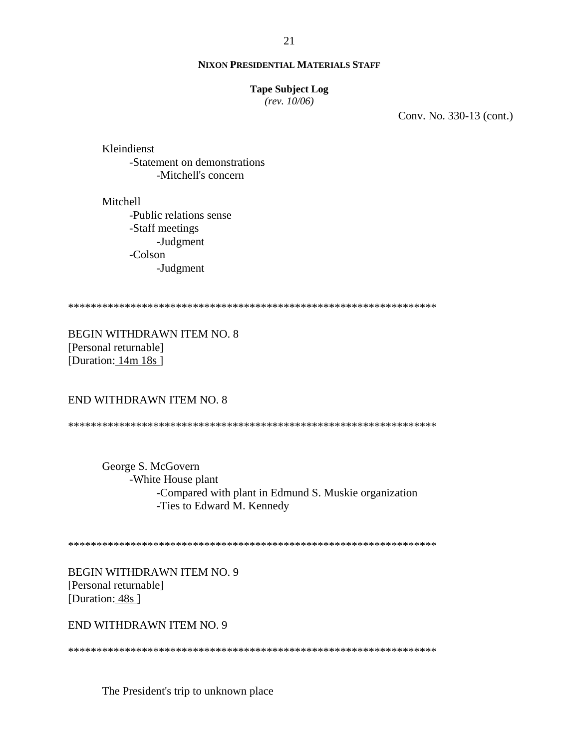#### **Tape Subject Log**

 $(rev. 10/06)$ 

Conv. No. 330-13 (cont.)

Kleindienst -Statement on demonstrations -Mitchell's concern

Mitchell -Public relations sense -Staff meetings -Judgment -Colson -Judgment

**BEGIN WITHDRAWN ITEM NO. 8** [Personal returnable] [Duration:  $14m 18s$ ]

## **END WITHDRAWN ITEM NO. 8**

George S. McGovern -White House plant -Compared with plant in Edmund S. Muskie organization -Ties to Edward M. Kennedy

**BEGIN WITHDRAWN ITEM NO. 9** [Personal returnable] [Duration: 48s]

END WITHDRAWN ITEM NO. 9

The President's trip to unknown place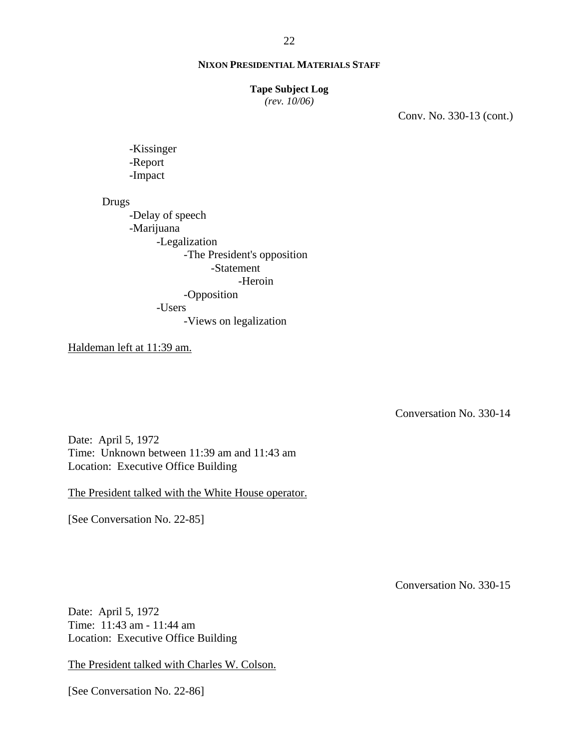**Tape Subject Log**

*(rev. 10/06)*

Conv. No. 330-13 (cont.)

-Kissinger -Report -Impact

Drugs

-Delay of speech -Marijuana -Legalization -The President's opposition -Statement -Heroin -Opposition -Users -Views on legalization

Haldeman left at 11:39 am.

Conversation No. 330-14

Date: April 5, 1972 Time: Unknown between 11:39 am and 11:43 am Location: Executive Office Building

The President talked with the White House operator.

[See Conversation No. 22-85]

Conversation No. 330-15

Date: April 5, 1972 Time: 11:43 am - 11:44 am Location: Executive Office Building

The President talked with Charles W. Colson.

[See Conversation No. 22-86]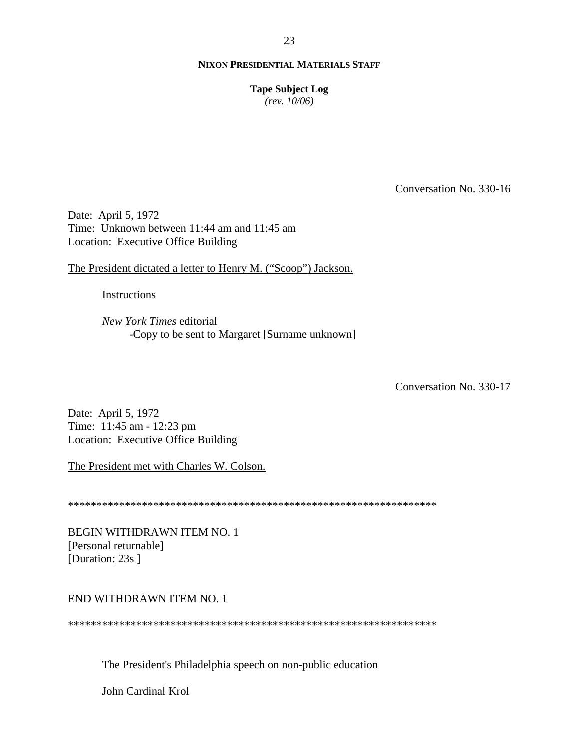**Tape Subject Log** 

 $(rev. 10/06)$ 

Conversation No. 330-16

Date: April 5, 1972 Time: Unknown between 11:44 am and 11:45 am Location: Executive Office Building

The President dictated a letter to Henry M. ("Scoop") Jackson.

**Instructions** 

New York Times editorial -Copy to be sent to Margaret [Surname unknown]

Conversation No. 330-17

Date: April 5, 1972 Time: 11:45 am - 12:23 pm Location: Executive Office Building

The President met with Charles W. Colson.

**BEGIN WITHDRAWN ITEM NO. 1** [Personal returnable] [Duration: 23s]

## END WITHDRAWN ITEM NO. 1

The President's Philadelphia speech on non-public education

John Cardinal Krol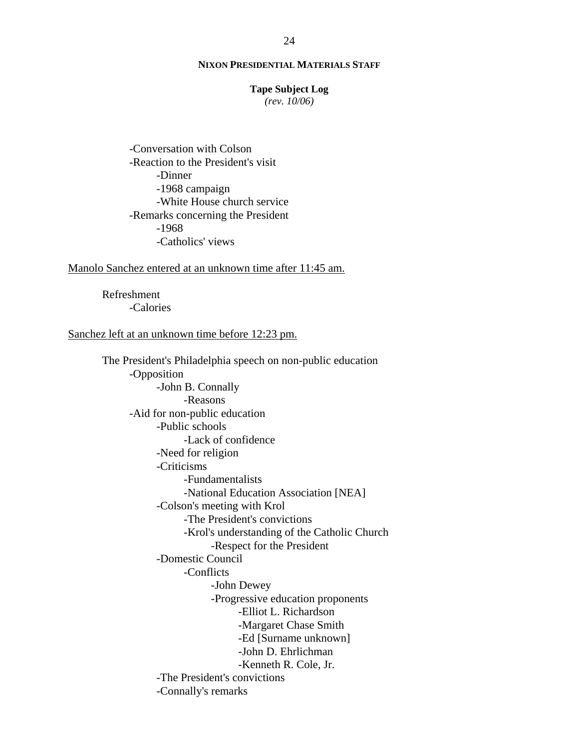#### **Tape Subject Log**

*(rev. 10/06)*

-Conversation with Colson -Reaction to the President's visit -Dinner -1968 campaign -White House church service -Remarks concerning the President -1968 -Catholics' views

#### Manolo Sanchez entered at an unknown time after 11:45 am.

Refreshment -Calories

### Sanchez left at an unknown time before 12:23 pm.

The President's Philadelphia speech on non-public education -Opposition -John B. Connally -Reasons -Aid for non-public education -Public schools -Lack of confidence -Need for religion -Criticisms -Fundamentalists -National Education Association [NEA] -Colson's meeting with Krol -The President's convictions -Krol's understanding of the Catholic Church -Respect for the President -Domestic Council -Conflicts -John Dewey -Progressive education proponents -Elliot L. Richardson -Margaret Chase Smith -Ed [Surname unknown] -John D. Ehrlichman -Kenneth R. Cole, Jr. -The President's convictions -Connally's remarks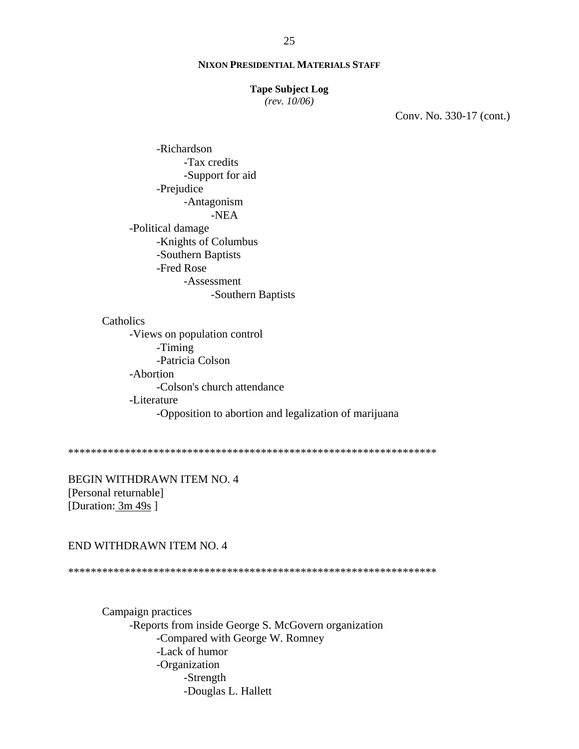#### **Tape Subject Log**

 $(rev. 10/06)$ 

Conv. No. 330-17 (cont.)

-Richardson -Tax credits -Support for aid -Prejudice -Antagonism  $-NEA$ -Political damage -Knights of Columbus -Southern Baptists -Fred Rose -Assessment -Southern Baptists

#### Catholics

-Views on population control -Timing -Patricia Colson -Abortion -Colson's church attendance -Literature -Opposition to abortion and legalization of marijuana

**BEGIN WITHDRAWN ITEM NO. 4** [Personal returnable] [Duration:  $3m 49s$ ]

## END WITHDRAWN ITEM NO. 4

Campaign practices -Reports from inside George S. McGovern organization -Compared with George W. Romney -Lack of humor -Organization -Strength -Douglas L. Hallett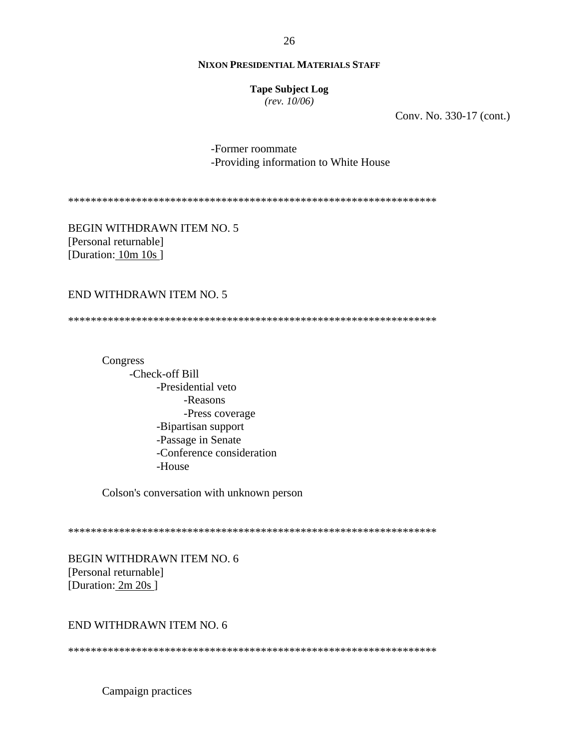**Tape Subject Log**  $(rev. 10/06)$ 

Conv. No. 330-17 (cont.)

-Former roommate -Providing information to White House

**BEGIN WITHDRAWN ITEM NO. 5** [Personal returnable] [Duration: 10m 10s]

## **END WITHDRAWN ITEM NO. 5**

Congress -Check-off Bill -Presidential veto -Reasons -Press coverage -Bipartisan support -Passage in Senate -Conference consideration -House

Colson's conversation with unknown person

**BEGIN WITHDRAWN ITEM NO. 6** [Personal returnable] [Duration: 2m 20s]

## END WITHDRAWN ITEM NO. 6

Campaign practices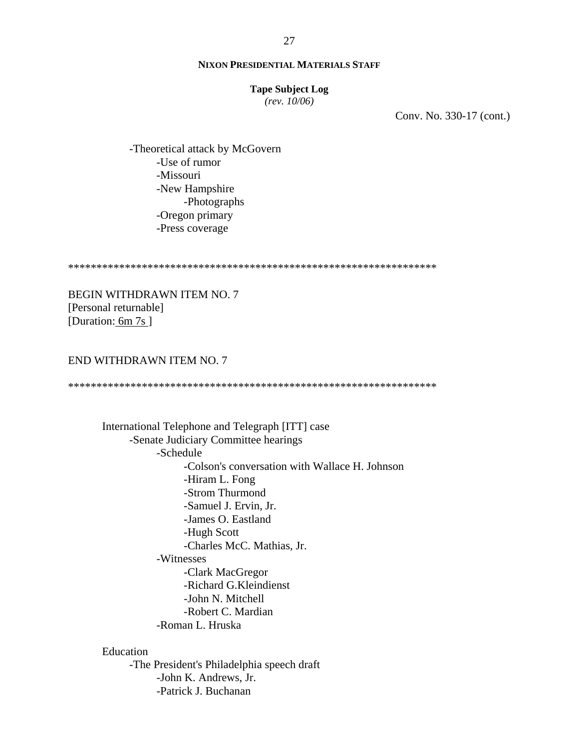#### **Tape Subject Log**

*(rev. 10/06)*

Conv. No. 330-17 (cont.)

 -Theoretical attack by McGovern -Use of rumor -Missouri -New Hampshire -Photographs -Oregon primary -Press coverage

\*\*\*\*\*\*\*\*\*\*\*\*\*\*\*\*\*\*\*\*\*\*\*\*\*\*\*\*\*\*\*\*\*\*\*\*\*\*\*\*\*\*\*\*\*\*\*\*\*\*\*\*\*\*\*\*\*\*\*\*\*\*\*\*\*

BEGIN WITHDRAWN ITEM NO. 7 [Personal returnable] [Duration: 6m 7s]

## END WITHDRAWN ITEM NO. 7

\*\*\*\*\*\*\*\*\*\*\*\*\*\*\*\*\*\*\*\*\*\*\*\*\*\*\*\*\*\*\*\*\*\*\*\*\*\*\*\*\*\*\*\*\*\*\*\*\*\*\*\*\*\*\*\*\*\*\*\*\*\*\*\*\*

International Telephone and Telegraph [ITT] case -Senate Judiciary Committee hearings -Schedule -Colson's conversation with Wallace H. Johnson -Hiram L. Fong -Strom Thurmond -Samuel J. Ervin, Jr. -James O. Eastland -Hugh Scott -Charles McC. Mathias, Jr. -Witnesses -Clark MacGregor -Richard G.Kleindienst -John N. Mitchell -Robert C. Mardian -Roman L. Hruska

## Education

-The President's Philadelphia speech draft -John K. Andrews, Jr. -Patrick J. Buchanan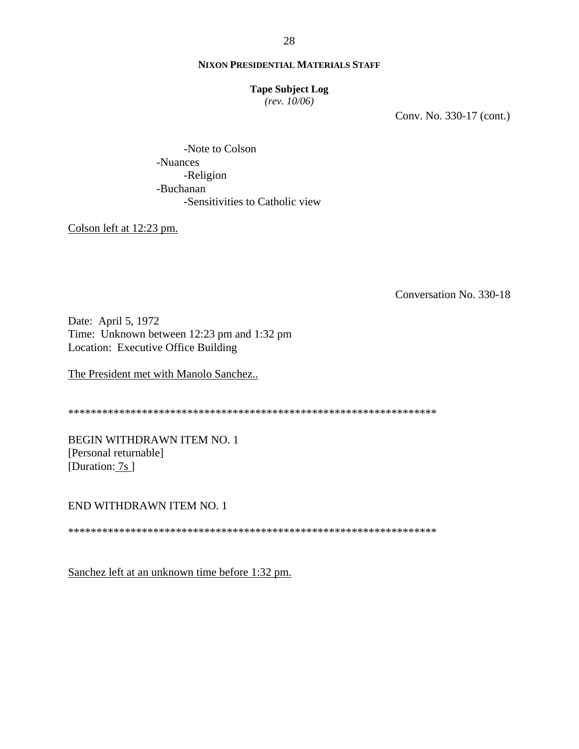### **Tape Subject Log**

 $(rev. 10/06)$ 

Conv. No. 330-17 (cont.)

-Note to Colson -Nuances -Religion -Buchanan -Sensitivities to Catholic view

Colson left at 12:23 pm.

Conversation No. 330-18

Date: April 5, 1972 Time: Unknown between 12:23 pm and 1:32 pm Location: Executive Office Building

The President met with Manolo Sanchez..

**BEGIN WITHDRAWN ITEM NO. 1** [Personal returnable] [Duration: 7s]

END WITHDRAWN ITEM NO. 1

Sanchez left at an unknown time before 1:32 pm.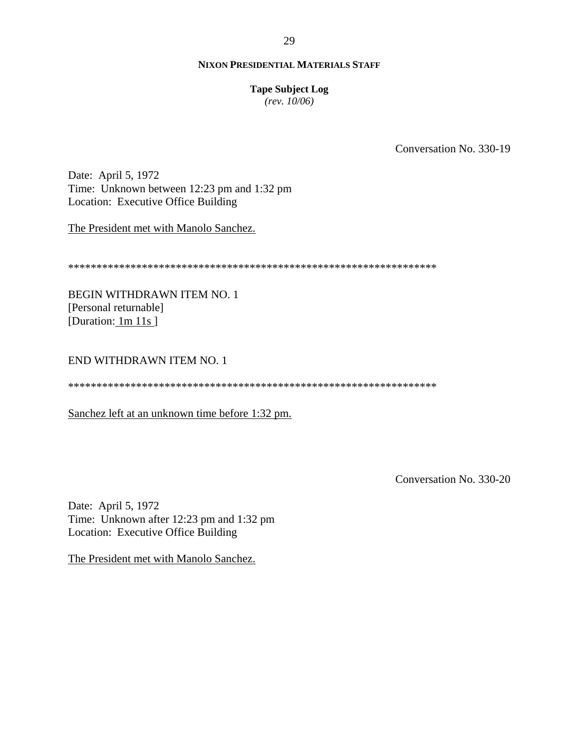29

## **NIXON PRESIDENTIAL MATERIALS STAFF**

## **Tape Subject Log**

 $(rev. 10/06)$ 

Conversation No. 330-19

Date: April 5, 1972 Time: Unknown between 12:23 pm and 1:32 pm Location: Executive Office Building

The President met with Manolo Sanchez.

**BEGIN WITHDRAWN ITEM NO. 1** [Personal returnable] [Duration:  $1m 11s$ ]

# END WITHDRAWN ITEM NO. 1

Sanchez left at an unknown time before 1:32 pm.

Conversation No. 330-20

Date: April 5, 1972 Time: Unknown after 12:23 pm and 1:32 pm Location: Executive Office Building

The President met with Manolo Sanchez.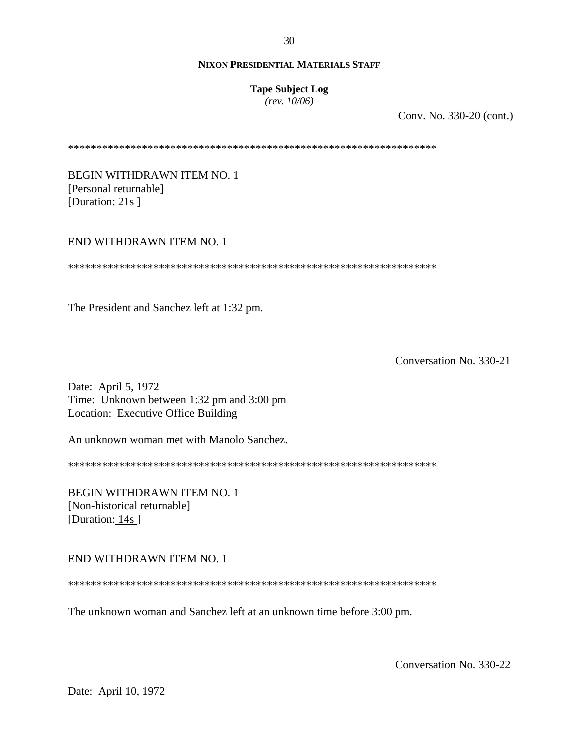#### **Tape Subject Log**

*(rev. 10/06)*

Conv. No. 330-20 (cont.)

\*\*\*\*\*\*\*\*\*\*\*\*\*\*\*\*\*\*\*\*\*\*\*\*\*\*\*\*\*\*\*\*\*\*\*\*\*\*\*\*\*\*\*\*\*\*\*\*\*\*\*\*\*\*\*\*\*\*\*\*\*\*\*\*\*

BEGIN WITHDRAWN ITEM NO. 1 [Personal returnable] [Duration: 21s]

## END WITHDRAWN ITEM NO. 1

\*\*\*\*\*\*\*\*\*\*\*\*\*\*\*\*\*\*\*\*\*\*\*\*\*\*\*\*\*\*\*\*\*\*\*\*\*\*\*\*\*\*\*\*\*\*\*\*\*\*\*\*\*\*\*\*\*\*\*\*\*\*\*\*\*

The President and Sanchez left at 1:32 pm.

Conversation No. 330-21

Date: April 5, 1972 Time: Unknown between 1:32 pm and 3:00 pm Location: Executive Office Building

An unknown woman met with Manolo Sanchez.

\*\*\*\*\*\*\*\*\*\*\*\*\*\*\*\*\*\*\*\*\*\*\*\*\*\*\*\*\*\*\*\*\*\*\*\*\*\*\*\*\*\*\*\*\*\*\*\*\*\*\*\*\*\*\*\*\*\*\*\*\*\*\*\*\*

BEGIN WITHDRAWN ITEM NO. 1 [Non-historical returnable] [Duration: 14s]

END WITHDRAWN ITEM NO. 1

\*\*\*\*\*\*\*\*\*\*\*\*\*\*\*\*\*\*\*\*\*\*\*\*\*\*\*\*\*\*\*\*\*\*\*\*\*\*\*\*\*\*\*\*\*\*\*\*\*\*\*\*\*\*\*\*\*\*\*\*\*\*\*\*\*

The unknown woman and Sanchez left at an unknown time before 3:00 pm.

Conversation No. 330-22

30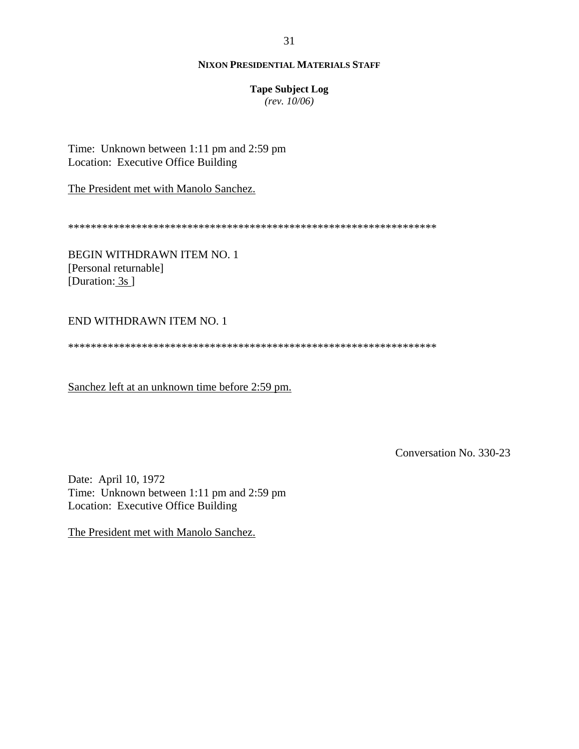**Tape Subject Log** 

 $(rev. 10/06)$ 

Time: Unknown between 1:11 pm and 2:59 pm Location: Executive Office Building

The President met with Manolo Sanchez.

**BEGIN WITHDRAWN ITEM NO. 1** [Personal returnable] [Duration:  $3s$ ]

## END WITHDRAWN ITEM NO. 1

Sanchez left at an unknown time before 2:59 pm.

Conversation No. 330-23

Date: April 10, 1972 Time: Unknown between 1:11 pm and 2:59 pm Location: Executive Office Building

The President met with Manolo Sanchez.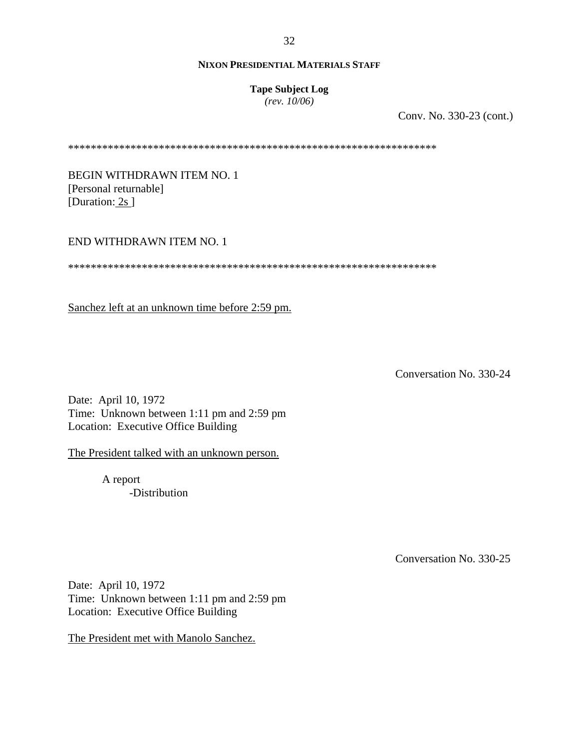### **Tape Subject Log**

*(rev. 10/06)*

Conv. No. 330-23 (cont.)

\*\*\*\*\*\*\*\*\*\*\*\*\*\*\*\*\*\*\*\*\*\*\*\*\*\*\*\*\*\*\*\*\*\*\*\*\*\*\*\*\*\*\*\*\*\*\*\*\*\*\*\*\*\*\*\*\*\*\*\*\*\*\*\*\*

BEGIN WITHDRAWN ITEM NO. 1 [Personal returnable] [Duration: 2s ]

## END WITHDRAWN ITEM NO. 1

\*\*\*\*\*\*\*\*\*\*\*\*\*\*\*\*\*\*\*\*\*\*\*\*\*\*\*\*\*\*\*\*\*\*\*\*\*\*\*\*\*\*\*\*\*\*\*\*\*\*\*\*\*\*\*\*\*\*\*\*\*\*\*\*\*

Sanchez left at an unknown time before 2:59 pm.

Conversation No. 330-24

Date: April 10, 1972 Time: Unknown between 1:11 pm and 2:59 pm Location: Executive Office Building

The President talked with an unknown person.

A report -Distribution

Conversation No. 330-25

Date: April 10, 1972 Time: Unknown between 1:11 pm and 2:59 pm Location: Executive Office Building

The President met with Manolo Sanchez.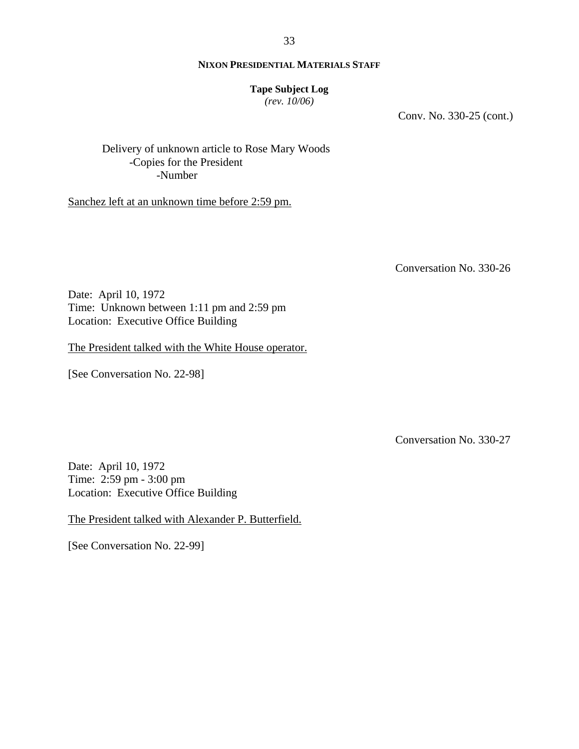### **Tape Subject Log**

*(rev. 10/06)*

Conv. No. 330-25 (cont.)

Delivery of unknown article to Rose Mary Woods -Copies for the President -Number

Sanchez left at an unknown time before 2:59 pm.

Conversation No. 330-26

Date: April 10, 1972 Time: Unknown between 1:11 pm and 2:59 pm Location: Executive Office Building

The President talked with the White House operator.

[See Conversation No. 22-98]

Conversation No. 330-27

Date: April 10, 1972 Time: 2:59 pm - 3:00 pm Location: Executive Office Building

The President talked with Alexander P. Butterfield.

[See Conversation No. 22-99]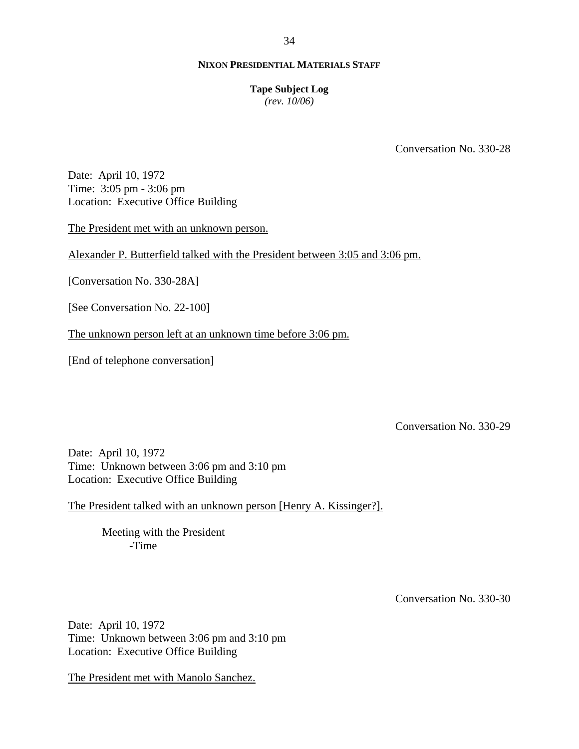### **Tape Subject Log**

*(rev. 10/06)*

Conversation No. 330-28

Date: April 10, 1972 Time: 3:05 pm - 3:06 pm Location: Executive Office Building

The President met with an unknown person.

Alexander P. Butterfield talked with the President between 3:05 and 3:06 pm.

[Conversation No. 330-28A]

[See Conversation No. 22-100]

The unknown person left at an unknown time before 3:06 pm.

[End of telephone conversation]

Conversation No. 330-29

Date: April 10, 1972 Time: Unknown between 3:06 pm and 3:10 pm Location: Executive Office Building

The President talked with an unknown person [Henry A. Kissinger?].

Meeting with the President -Time

Conversation No. 330-30

Date: April 10, 1972 Time: Unknown between 3:06 pm and 3:10 pm Location: Executive Office Building

The President met with Manolo Sanchez.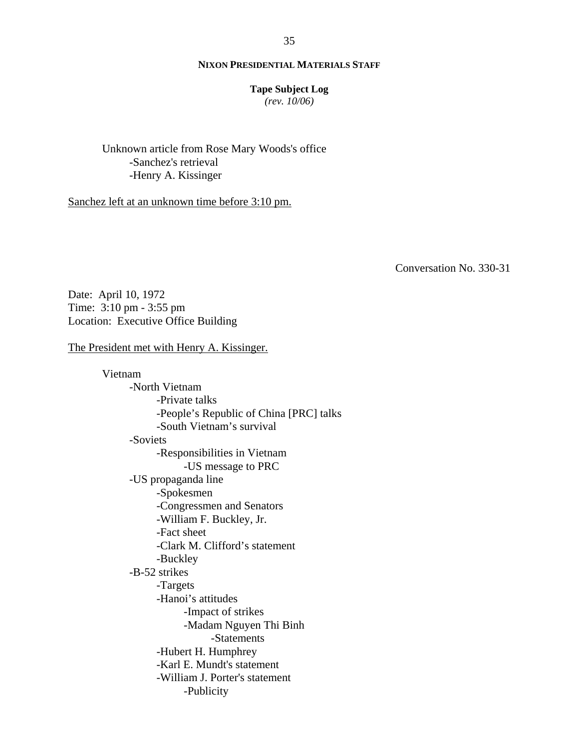#### **Tape Subject Log**

*(rev. 10/06)*

Unknown article from Rose Mary Woods's office -Sanchez's retrieval -Henry A. Kissinger

Sanchez left at an unknown time before 3:10 pm.

Conversation No. 330-31

Date: April 10, 1972 Time: 3:10 pm - 3:55 pm Location: Executive Office Building

## The President met with Henry A. Kissinger.

Vietnam -North Vietnam -Private talks -People's Republic of China [PRC] talks -South Vietnam's survival -Soviets -Responsibilities in Vietnam -US message to PRC -US propaganda line -Spokesmen -Congressmen and Senators -William F. Buckley, Jr. -Fact sheet -Clark M. Clifford's statement -Buckley -B-52 strikes -Targets -Hanoi's attitudes -Impact of strikes -Madam Nguyen Thi Binh -Statements -Hubert H. Humphrey -Karl E. Mundt's statement -William J. Porter's statement -Publicity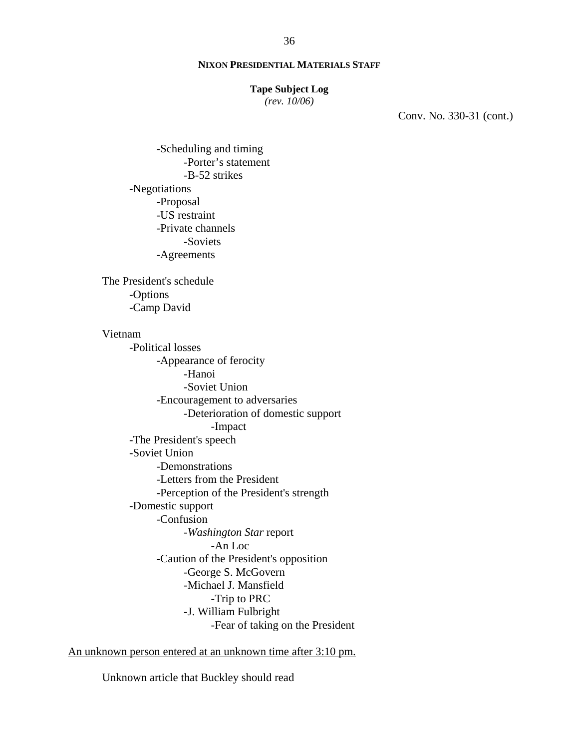#### **Tape Subject Log**

*(rev. 10/06)*

Conv. No. 330-31 (cont.)

-Scheduling and timing -Porter's statement -B-52 strikes -Negotiations -Proposal -US restraint -Private channels -Soviets -Agreements

The President's schedule -Options -Camp David

## Vietnam

-Political losses -Appearance of ferocity -Hanoi -Soviet Union -Encouragement to adversaries -Deterioration of domestic support -Impact -The President's speech -Soviet Union -Demonstrations -Letters from the President -Perception of the President's strength -Domestic support -Confusion -*Washington Star* report -An Loc -Caution of the President's opposition -George S. McGovern -Michael J. Mansfield -Trip to PRC -J. William Fulbright -Fear of taking on the President

An unknown person entered at an unknown time after 3:10 pm.

Unknown article that Buckley should read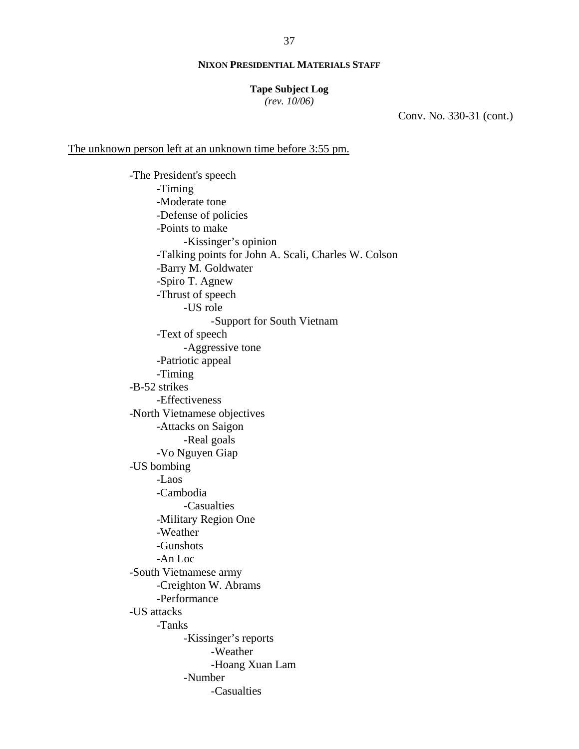#### **Tape Subject Log**

*(rev. 10/06)*

Conv. No. 330-31 (cont.)

## The unknown person left at an unknown time before 3:55 pm.

-The President's speech -Timing -Moderate tone -Defense of policies -Points to make -Kissinger's opinion -Talking points for John A. Scali, Charles W. Colson -Barry M. Goldwater -Spiro T. Agnew -Thrust of speech -US role -Support for South Vietnam -Text of speech -Aggressive tone -Patriotic appeal -Timing -B-52 strikes -Effectiveness -North Vietnamese objectives -Attacks on Saigon -Real goals -Vo Nguyen Giap -US bombing -Laos -Cambodia -Casualties -Military Region One -Weather -Gunshots -An Loc -South Vietnamese army -Creighton W. Abrams -Performance -US attacks -Tanks -Kissinger's reports -Weather -Hoang Xuan Lam -Number -Casualties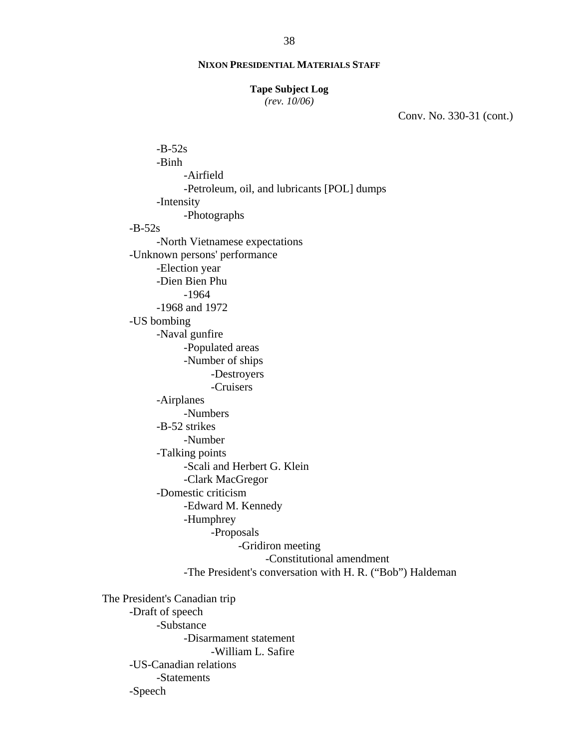#### **Tape Subject Log**

*(rev. 10/06)*

Conv. No. 330-31 (cont.)

 $-B-52s$ -Binh -Airfield -Petroleum, oil, and lubricants [POL] dumps -Intensity -Photographs  $-B-52s$ -North Vietnamese expectations -Unknown persons' performance -Election year -Dien Bien Phu -1964 -1968 and 1972 -US bombing -Naval gunfire -Populated areas -Number of ships -Destroyers -Cruisers -Airplanes -Numbers -B-52 strikes -Number -Talking points -Scali and Herbert G. Klein -Clark MacGregor -Domestic criticism -Edward M. Kennedy -Humphrey -Proposals -Gridiron meeting -Constitutional amendment -The President's conversation with H. R. ("Bob") Haldeman The President's Canadian trip

-Draft of speech -Substance -Disarmament statement -William L. Safire -US-Canadian relations -Statements -Speech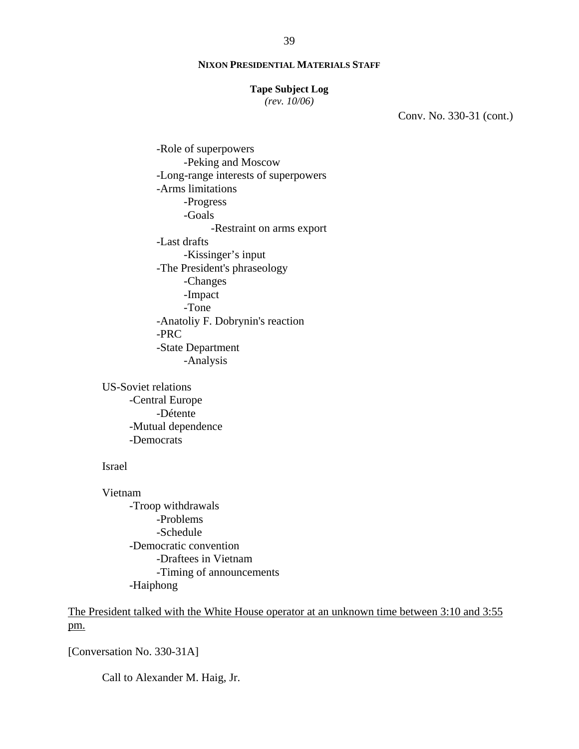#### **Tape Subject Log**

*(rev. 10/06)*

Conv. No. 330-31 (cont.)

-Role of superpowers -Peking and Moscow -Long-range interests of superpowers -Arms limitations -Progress -Goals -Restraint on arms export -Last drafts -Kissinger's input -The President's phraseology -Changes -Impact -Tone -Anatoliy F. Dobrynin's reaction -PRC -State Department -Analysis

US-Soviet relations -Central Europe -Détente -Mutual dependence -Democrats

#### Israel

Vietnam -Troop withdrawals -Problems -Schedule -Democratic convention -Draftees in Vietnam -Timing of announcements -Haiphong

The President talked with the White House operator at an unknown time between 3:10 and 3:55 pm.

[Conversation No. 330-31A]

Call to Alexander M. Haig, Jr.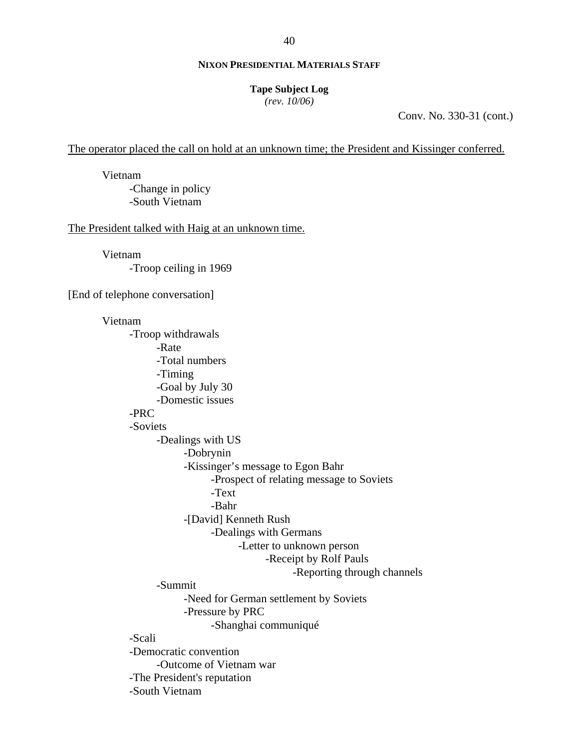#### **Tape Subject Log**

*(rev. 10/06)*

Conv. No. 330-31 (cont.)

The operator placed the call on hold at an unknown time; the President and Kissinger conferred.

Vietnam -Change in policy -South Vietnam

The President talked with Haig at an unknown time.

Vietnam -Troop ceiling in 1969

[End of telephone conversation]

#### Vietnam

-Troop withdrawals -Rate -Total numbers -Timing -Goal by July 30 -Domestic issues -PRC -Soviets -Dealings with US -Dobrynin -Kissinger's message to Egon Bahr -Prospect of relating message to Soviets -Text -Bahr -[David] Kenneth Rush -Dealings with Germans -Letter to unknown person -Receipt by Rolf Pauls -Reporting through channels -Summit -Need for German settlement by Soviets -Pressure by PRC -Shanghai communiqué -Scali -Democratic convention -Outcome of Vietnam war -The President's reputation -South Vietnam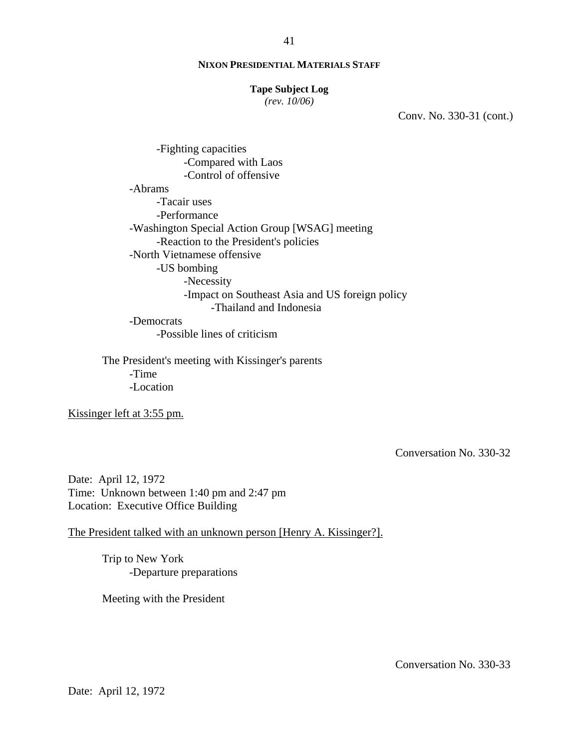#### **Tape Subject Log**

*(rev. 10/06)*

Conv. No. 330-31 (cont.)

-Fighting capacities -Compared with Laos -Control of offensive -Abrams -Tacair uses -Performance -Washington Special Action Group [WSAG] meeting -Reaction to the President's policies -North Vietnamese offensive -US bombing -Necessity -Impact on Southeast Asia and US foreign policy -Thailand and Indonesia

-Democrats -Possible lines of criticism

The President's meeting with Kissinger's parents -Time -Location

Kissinger left at 3:55 pm.

Conversation No. 330-32

Date: April 12, 1972 Time: Unknown between 1:40 pm and 2:47 pm Location: Executive Office Building

The President talked with an unknown person [Henry A. Kissinger?].

Trip to New York -Departure preparations

Meeting with the President

Conversation No. 330-33

Date: April 12, 1972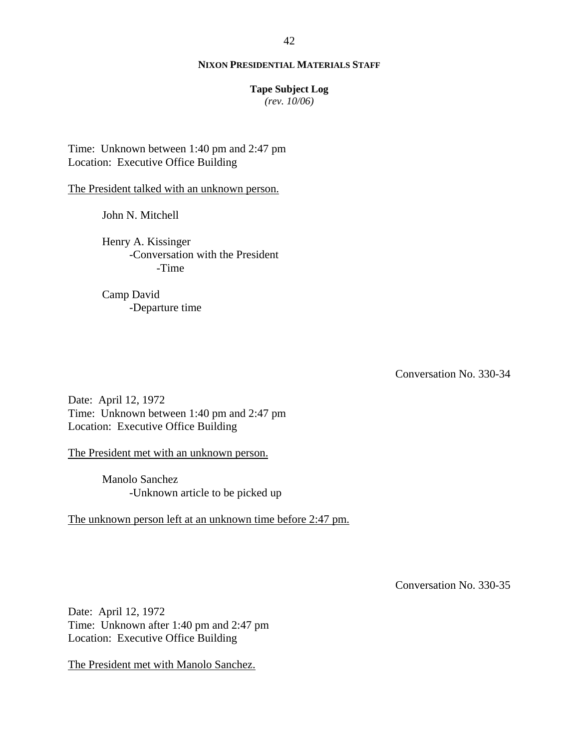### **Tape Subject Log**

*(rev. 10/06)*

Time: Unknown between 1:40 pm and 2:47 pm Location: Executive Office Building

The President talked with an unknown person.

John N. Mitchell

Henry A. Kissinger -Conversation with the President -Time

Camp David -Departure time

Conversation No. 330-34

Date: April 12, 1972 Time: Unknown between 1:40 pm and 2:47 pm Location: Executive Office Building

The President met with an unknown person.

Manolo Sanchez -Unknown article to be picked up

The unknown person left at an unknown time before 2:47 pm.

Conversation No. 330-35

Date: April 12, 1972 Time: Unknown after 1:40 pm and 2:47 pm Location: Executive Office Building

The President met with Manolo Sanchez.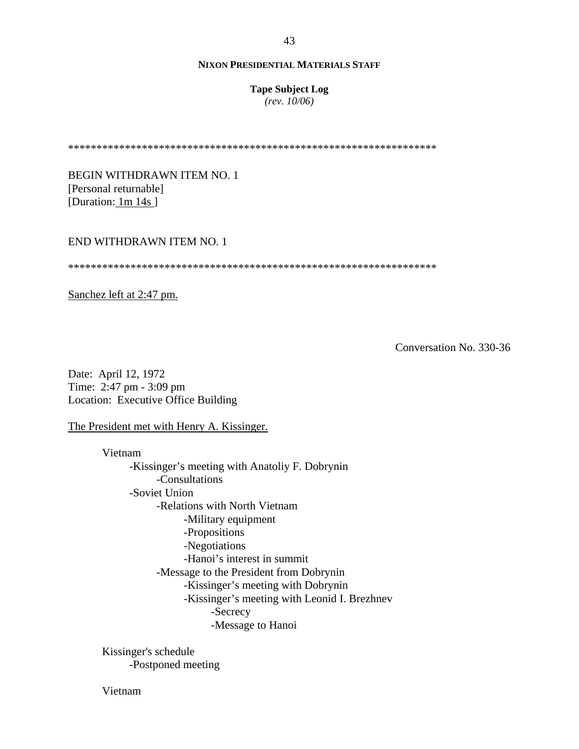**Tape Subject Log**

*(rev. 10/06)*

\*\*\*\*\*\*\*\*\*\*\*\*\*\*\*\*\*\*\*\*\*\*\*\*\*\*\*\*\*\*\*\*\*\*\*\*\*\*\*\*\*\*\*\*\*\*\*\*\*\*\*\*\*\*\*\*\*\*\*\*\*\*\*\*\*

BEGIN WITHDRAWN ITEM NO. 1 [Personal returnable] [Duration: 1m 14s]

## END WITHDRAWN ITEM NO. 1

\*\*\*\*\*\*\*\*\*\*\*\*\*\*\*\*\*\*\*\*\*\*\*\*\*\*\*\*\*\*\*\*\*\*\*\*\*\*\*\*\*\*\*\*\*\*\*\*\*\*\*\*\*\*\*\*\*\*\*\*\*\*\*\*\*

Sanchez left at 2:47 pm.

Conversation No. 330-36

Date: April 12, 1972 Time: 2:47 pm - 3:09 pm Location: Executive Office Building

The President met with Henry A. Kissinger.

Vietnam -Kissinger's meeting with Anatoliy F. Dobrynin -Consultations -Soviet Union -Relations with North Vietnam -Military equipment -Propositions -Negotiations -Hanoi's interest in summit -Message to the President from Dobrynin -Kissinger's meeting with Dobrynin -Kissinger's meeting with Leonid I. Brezhnev -Secrecy -Message to Hanoi

Kissinger's schedule -Postponed meeting

Vietnam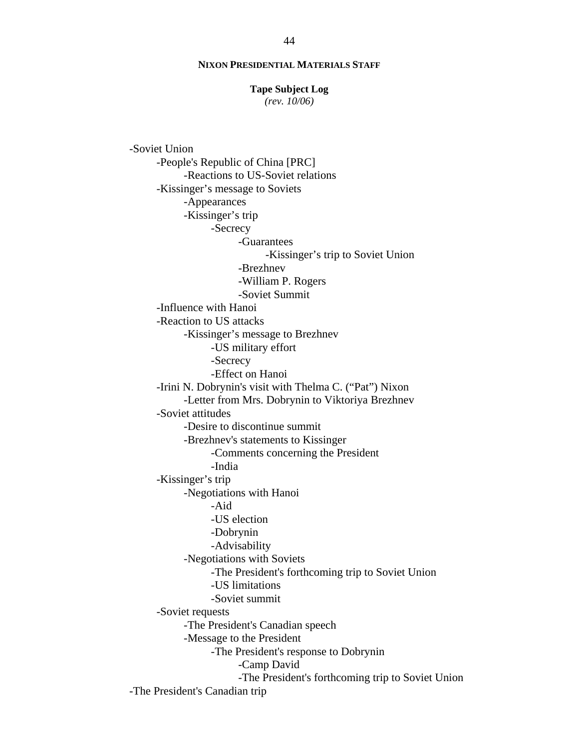#### **Tape Subject Log**

*(rev. 10/06)*

-Soviet Union -People's Republic of China [PRC] -Reactions to US-Soviet relations -Kissinger's message to Soviets -Appearances -Kissinger's trip -Secrecy -Guarantees -Kissinger's trip to Soviet Union -Brezhnev -William P. Rogers -Soviet Summit -Influence with Hanoi -Reaction to US attacks -Kissinger's message to Brezhnev -US military effort -Secrecy -Effect on Hanoi -Irini N. Dobrynin's visit with Thelma C. ("Pat") Nixon -Letter from Mrs. Dobrynin to Viktoriya Brezhnev -Soviet attitudes -Desire to discontinue summit -Brezhnev's statements to Kissinger -Comments concerning the President -India -Kissinger's trip -Negotiations with Hanoi -Aid -US election -Dobrynin -Advisability -Negotiations with Soviets -The President's forthcoming trip to Soviet Union -US limitations -Soviet summit -Soviet requests -The President's Canadian speech -Message to the President -The President's response to Dobrynin -Camp David -The President's forthcoming trip to Soviet Union -The President's Canadian trip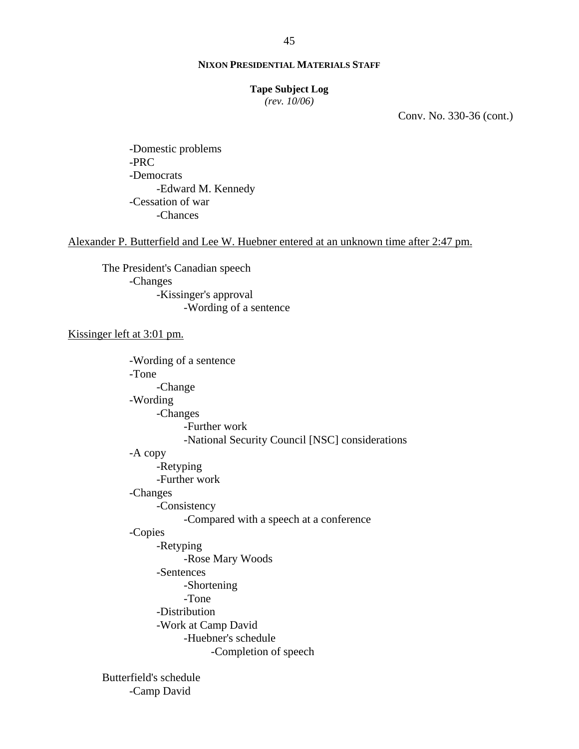#### **Tape Subject Log**

*(rev. 10/06)*

Conv. No. 330-36 (cont.)

-Domestic problems -PRC -Democrats -Edward M. Kennedy -Cessation of war -Chances

Alexander P. Butterfield and Lee W. Huebner entered at an unknown time after 2:47 pm.

The President's Canadian speech -Changes -Kissinger's approval -Wording of a sentence

Kissinger left at 3:01 pm.

-Wording of a sentence -Tone -Change -Wording -Changes -Further work -National Security Council [NSC] considerations -A copy -Retyping -Further work -Changes -Consistency -Compared with a speech at a conference -Copies -Retyping -Rose Mary Woods -Sentences -Shortening -Tone -Distribution -Work at Camp David -Huebner's schedule -Completion of speech

Butterfield's schedule -Camp David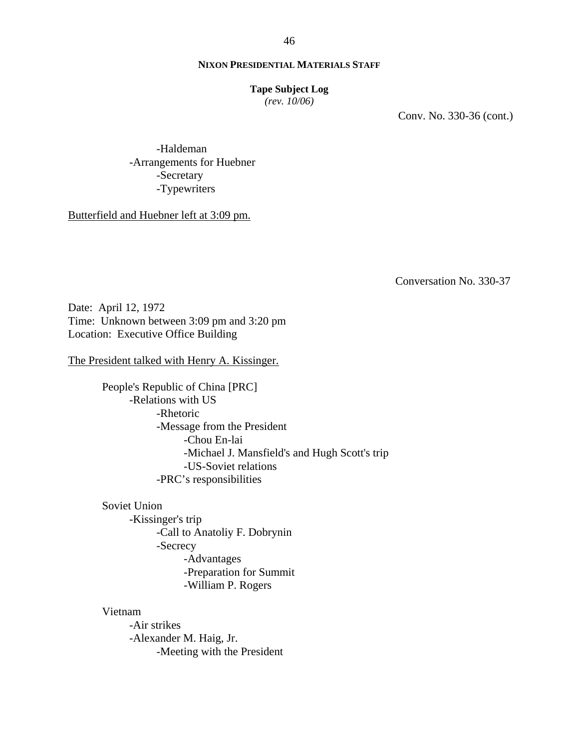### **Tape Subject Log**

*(rev. 10/06)*

Conv. No. 330-36 (cont.)

-Haldeman -Arrangements for Huebner -Secretary -Typewriters

Butterfield and Huebner left at 3:09 pm.

Conversation No. 330-37

Date: April 12, 1972 Time: Unknown between 3:09 pm and 3:20 pm Location: Executive Office Building

The President talked with Henry A. Kissinger.

People's Republic of China [PRC] -Relations with US -Rhetoric -Message from the President -Chou En-lai -Michael J. Mansfield's and Hugh Scott's trip -US-Soviet relations -PRC's responsibilities

Soviet Union

-Kissinger's trip -Call to Anatoliy F. Dobrynin -Secrecy -Advantages -Preparation for Summit -William P. Rogers

Vietnam

-Air strikes -Alexander M. Haig, Jr. -Meeting with the President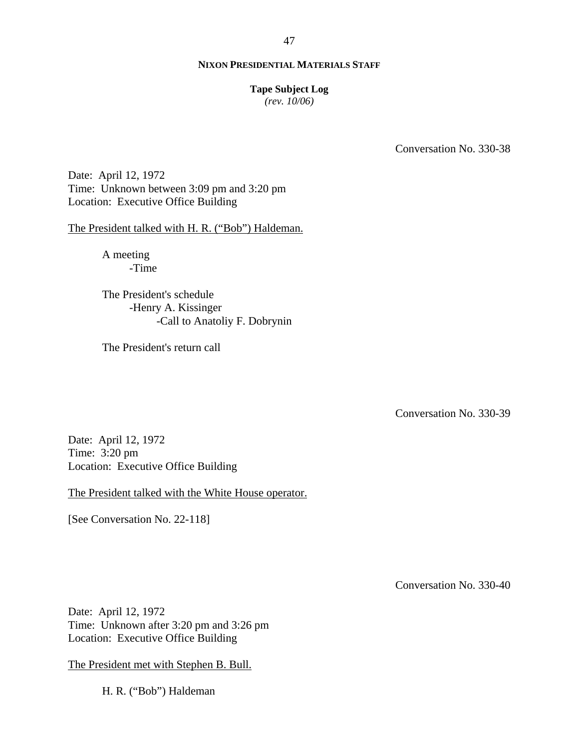#### **Tape Subject Log**

*(rev. 10/06)*

Conversation No. 330-38

Date: April 12, 1972 Time: Unknown between 3:09 pm and 3:20 pm Location: Executive Office Building

The President talked with H. R. ("Bob") Haldeman.

A meeting -Time

The President's schedule -Henry A. Kissinger -Call to Anatoliy F. Dobrynin

The President's return call

Conversation No. 330-39

Date: April 12, 1972 Time: 3:20 pm Location: Executive Office Building

The President talked with the White House operator.

[See Conversation No. 22-118]

Conversation No. 330-40

Date: April 12, 1972 Time: Unknown after 3:20 pm and 3:26 pm Location: Executive Office Building

The President met with Stephen B. Bull.

H. R. ("Bob") Haldeman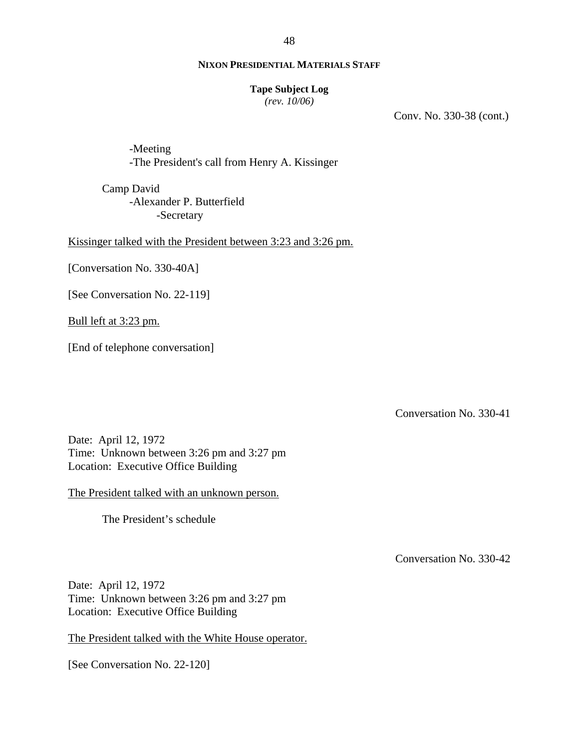**Tape Subject Log**

*(rev. 10/06)*

Conv. No. 330-38 (cont.)

-Meeting -The President's call from Henry A. Kissinger

Camp David -Alexander P. Butterfield -Secretary

Kissinger talked with the President between 3:23 and 3:26 pm.

[Conversation No. 330-40A]

[See Conversation No. 22-119]

Bull left at 3:23 pm.

[End of telephone conversation]

Conversation No. 330-41

Date: April 12, 1972 Time: Unknown between 3:26 pm and 3:27 pm Location: Executive Office Building

The President talked with an unknown person.

The President's schedule

Conversation No. 330-42

Date: April 12, 1972 Time: Unknown between 3:26 pm and 3:27 pm Location: Executive Office Building

The President talked with the White House operator.

[See Conversation No. 22-120]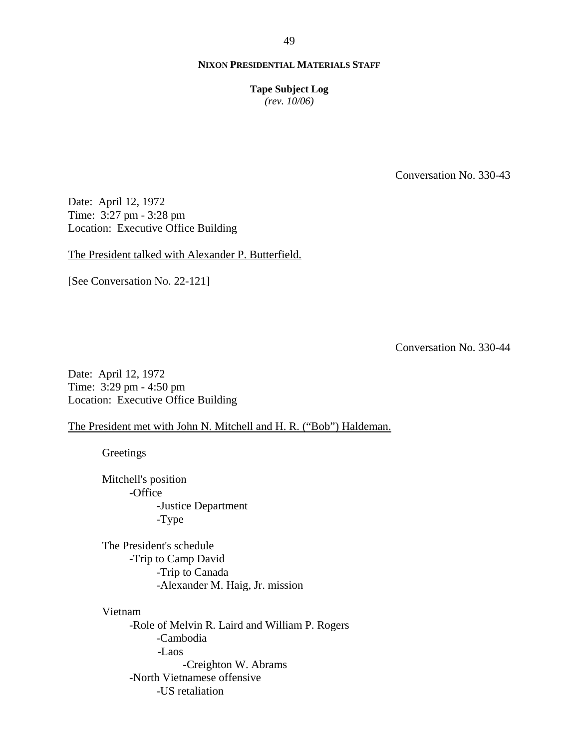**Tape Subject Log**

*(rev. 10/06)*

Conversation No. 330-43

Date: April 12, 1972 Time: 3:27 pm - 3:28 pm Location: Executive Office Building

The President talked with Alexander P. Butterfield.

[See Conversation No. 22-121]

Conversation No. 330-44

Date: April 12, 1972 Time: 3:29 pm - 4:50 pm Location: Executive Office Building

## The President met with John N. Mitchell and H. R. ("Bob") Haldeman.

**Greetings** 

Mitchell's position -Office -Justice Department -Type

The President's schedule -Trip to Camp David -Trip to Canada -Alexander M. Haig, Jr. mission

Vietnam -Role of Melvin R. Laird and William P. Rogers -Cambodia -Laos -Creighton W. Abrams -North Vietnamese offensive -US retaliation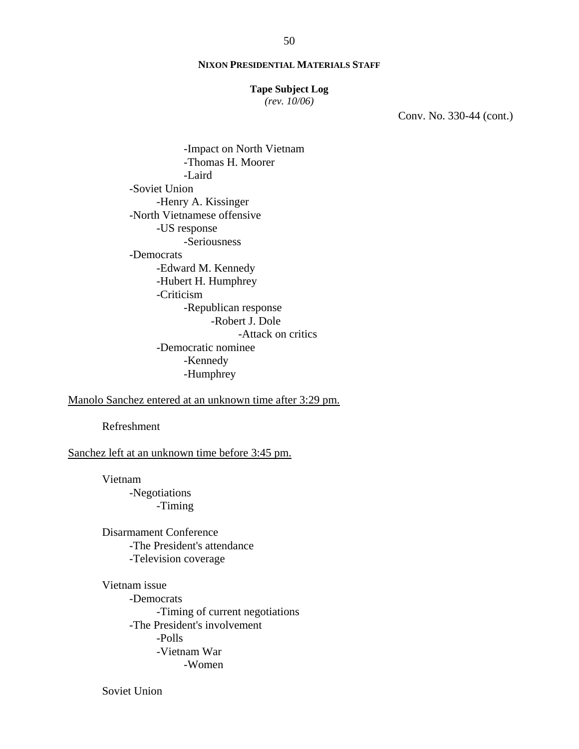#### **Tape Subject Log**

*(rev. 10/06)*

Conv. No. 330-44 (cont.)

-Impact on North Vietnam -Thomas H. Moorer -Laird -Soviet Union -Henry A. Kissinger -North Vietnamese offensive -US response -Seriousness -Democrats -Edward M. Kennedy -Hubert H. Humphrey -Criticism -Republican response -Robert J. Dole -Attack on critics -Democratic nominee -Kennedy -Humphrey

Manolo Sanchez entered at an unknown time after 3:29 pm.

Refreshment

Sanchez left at an unknown time before 3:45 pm.

Vietnam -Negotiations -Timing

Disarmament Conference -The President's attendance -Television coverage

Vietnam issue -Democrats -Timing of current negotiations -The President's involvement -Polls -Vietnam War -Women

Soviet Union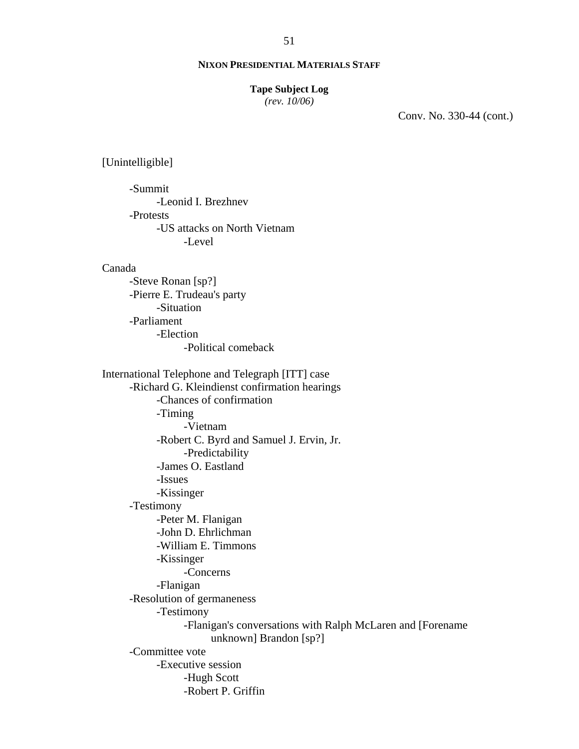#### **Tape Subject Log**

*(rev. 10/06)*

Conv. No. 330-44 (cont.)

[Unintelligible]

-Summit -Leonid I. Brezhnev -Protests -US attacks on North Vietnam -Level

## Canada

-Steve Ronan [sp?] -Pierre E. Trudeau's party -Situation -Parliament -Election -Political comeback

International Telephone and Telegraph [ITT] case -Richard G. Kleindienst confirmation hearings -Chances of confirmation -Timing -Vietnam -Robert C. Byrd and Samuel J. Ervin, Jr. -Predictability -James O. Eastland -Issues -Kissinger -Testimony -Peter M. Flanigan -John D. Ehrlichman -William E. Timmons -Kissinger -Concerns -Flanigan -Resolution of germaneness -Testimony -Flanigan's conversations with Ralph McLaren and [Forename unknown] Brandon [sp?] -Committee vote -Executive session -Hugh Scott -Robert P. Griffin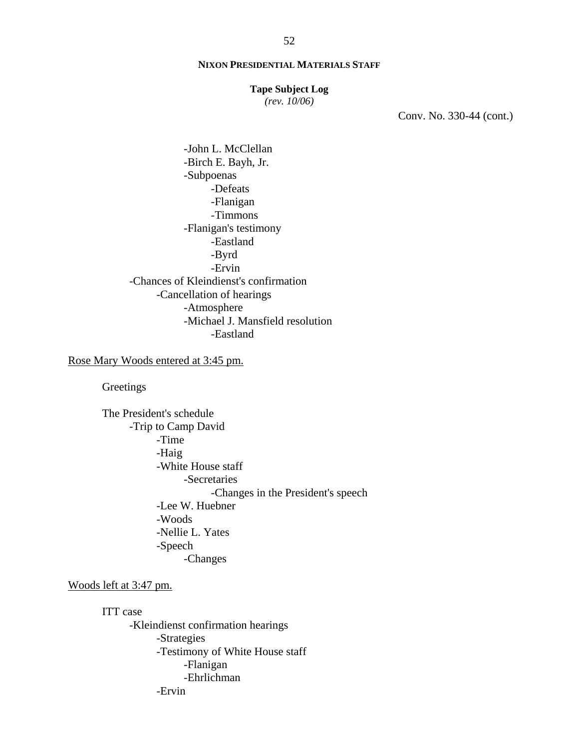#### **Tape Subject Log**

*(rev. 10/06)*

Conv. No. 330-44 (cont.)

-John L. McClellan -Birch E. Bayh, Jr. -Subpoenas -Defeats -Flanigan -Timmons -Flanigan's testimony -Eastland -Byrd -Ervin -Chances of Kleindienst's confirmation -Cancellation of hearings -Atmosphere -Michael J. Mansfield resolution -Eastland

# Rose Mary Woods entered at 3:45 pm.

**Greetings** 

The President's schedule -Trip to Camp David -Time -Haig -White House staff -Secretaries -Changes in the President's speech -Lee W. Huebner -Woods -Nellie L. Yates -Speech -Changes

# Woods left at 3:47 pm.

ITT case -Kleindienst confirmation hearings -Strategies -Testimony of White House staff -Flanigan -Ehrlichman -Ervin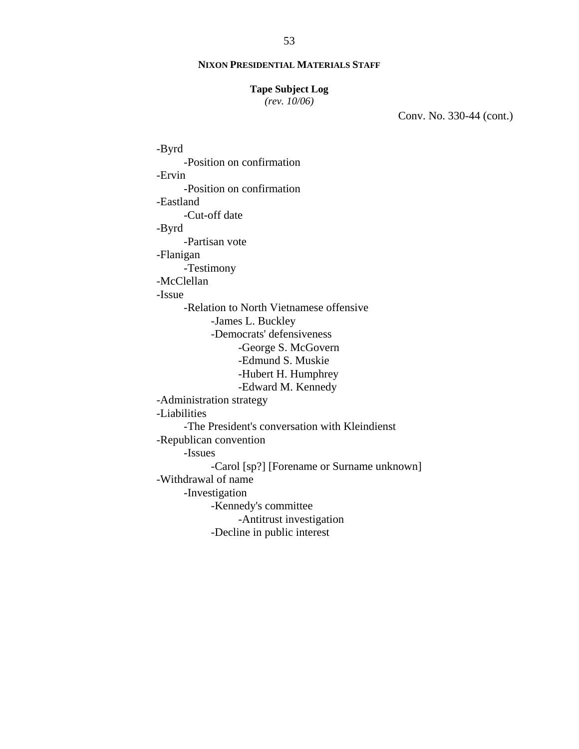### **Tape Subject Log**

*(rev. 10/06)*

Conv. No. 330-44 (cont.)

-Byrd -Position on confirmation -Ervin -Position on confirmation -Eastland -Cut-off date -Byrd -Partisan vote -Flanigan -Testimony -McClellan -Issue -Relation to North Vietnamese offensive -James L. Buckley -Democrats' defensiveness -George S. McGovern -Edmund S. Muskie -Hubert H. Humphrey -Edward M. Kennedy -Administration strategy -Liabilities -The President's conversation with Kleindienst -Republican convention -Issues -Carol [sp?] [Forename or Surname unknown] -Withdrawal of name -Investigation -Kennedy's committee -Antitrust investigation -Decline in public interest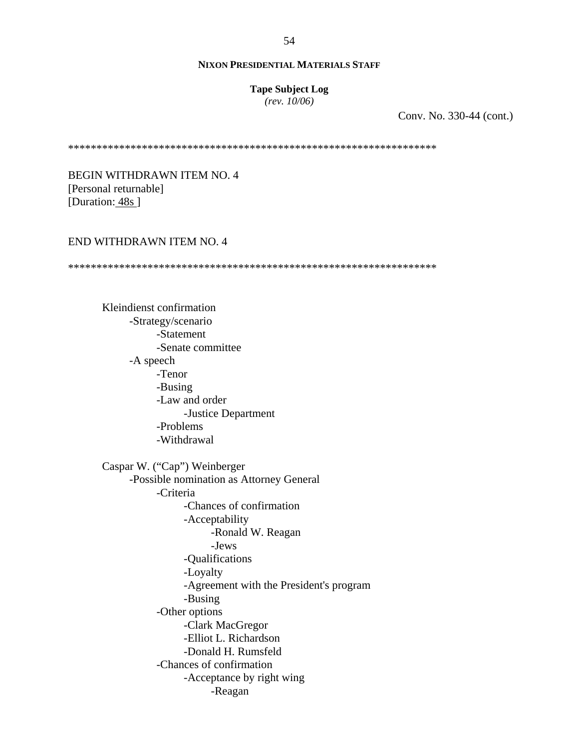#### **Tape Subject Log**

*(rev. 10/06)*

Conv. No. 330-44 (cont.)

\*\*\*\*\*\*\*\*\*\*\*\*\*\*\*\*\*\*\*\*\*\*\*\*\*\*\*\*\*\*\*\*\*\*\*\*\*\*\*\*\*\*\*\*\*\*\*\*\*\*\*\*\*\*\*\*\*\*\*\*\*\*\*\*\*

BEGIN WITHDRAWN ITEM NO. 4 [Personal returnable] [Duration: 48s]

## END WITHDRAWN ITEM NO. 4

\*\*\*\*\*\*\*\*\*\*\*\*\*\*\*\*\*\*\*\*\*\*\*\*\*\*\*\*\*\*\*\*\*\*\*\*\*\*\*\*\*\*\*\*\*\*\*\*\*\*\*\*\*\*\*\*\*\*\*\*\*\*\*\*\*

Kleindienst confirmation -Strategy/scenario -Statement -Senate committee -A speech -Tenor -Busing -Law and order -Justice Department -Problems -Withdrawal Caspar W. ("Cap") Weinberger -Possible nomination as Attorney General -Criteria -Chances of confirmation -Acceptability -Ronald W. Reagan -Jews -Qualifications -Loyalty -Agreement with the President's program -Busing -Other options -Clark MacGregor -Elliot L. Richardson -Donald H. Rumsfeld -Chances of confirmation -Acceptance by right wing -Reagan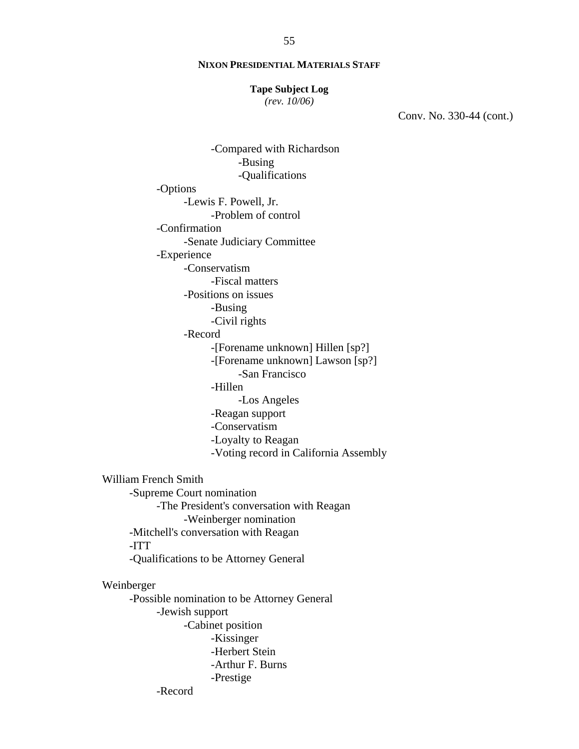#### **Tape Subject Log**

*(rev. 10/06)*

Conv. No. 330-44 (cont.)

-Compared with Richardson -Busing -Qualifications -Options -Lewis F. Powell, Jr. -Problem of control -Confirmation -Senate Judiciary Committee -Experience -Conservatism -Fiscal matters -Positions on issues -Busing -Civil rights -Record -[Forename unknown] Hillen [sp?] -[Forename unknown] Lawson [sp?] -San Francisco -Hillen -Los Angeles -Reagan support -Conservatism -Loyalty to Reagan -Voting record in California Assembly William French Smith -Supreme Court nomination -The President's conversation with Reagan -Weinberger nomination -Mitchell's conversation with Reagan -ITT -Qualifications to be Attorney General Weinberger -Possible nomination to be Attorney General -Jewish support -Cabinet position -Kissinger -Herbert Stein -Arthur F. Burns -Prestige

-Record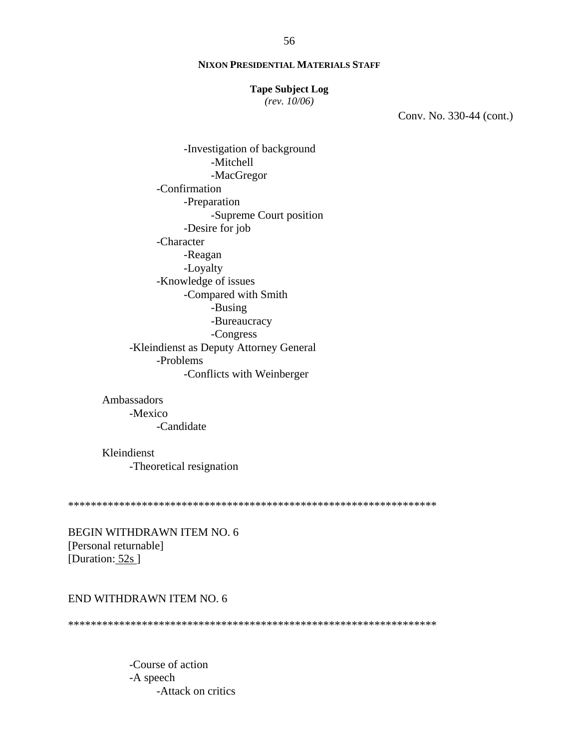#### **Tape Subject Log**

 $(rev. 10/06)$ 

Conv. No. 330-44 (cont.)

-Investigation of background -Mitchell -MacGregor -Confirmation -Preparation -Supreme Court position -Desire for job -Character -Reagan -Loyalty -Knowledge of issues -Compared with Smith -Busing -Bureaucracy -Congress -Kleindienst as Deputy Attorney General -Problems -Conflicts with Weinberger

Ambassadors -Mexico -Candidate

Kleindienst -Theoretical resignation

BEGIN WITHDRAWN ITEM NO. 6 [Personal returnable] [Duration: 52s]

## END WITHDRAWN ITEM NO. 6

-Course of action -A speech -Attack on critics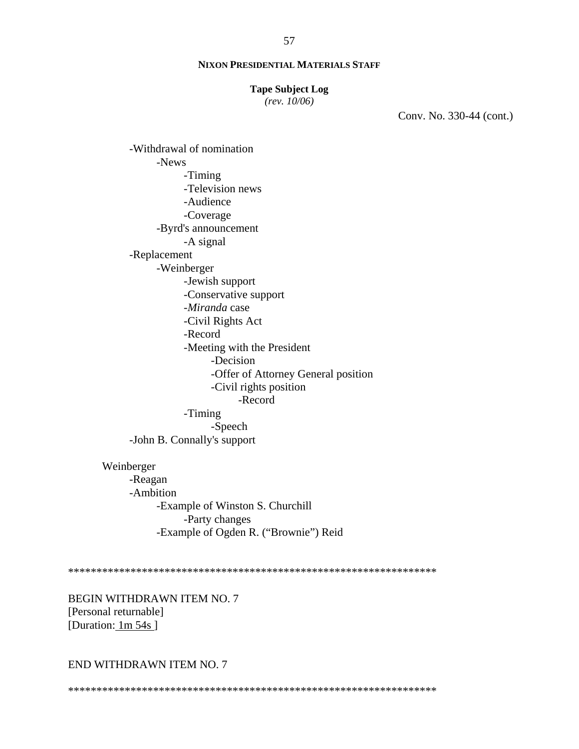#### **Tape Subject Log**

 $(rev. 10/06)$ 

Conv. No. 330-44 (cont.)

-Withdrawal of nomination -News -Timing -Television news -Audience -Coverage -Byrd's announcement -A signal -Replacement -Weinberger -Jewish support -Conservative support -Miranda case -Civil Rights Act -Record -Meeting with the President -Decision -Offer of Attorney General position -Civil rights position -Record -Timing -Speech -John B. Connally's support Weinberger -Reagan -Ambition -Example of Winston S. Churchill

-Party changes -Example of Ogden R. ("Brownie") Reid

BEGIN WITHDRAWN ITEM NO. 7 [Personal returnable] [Duration: 1m 54s]

#### END WITHDRAWN ITEM NO. 7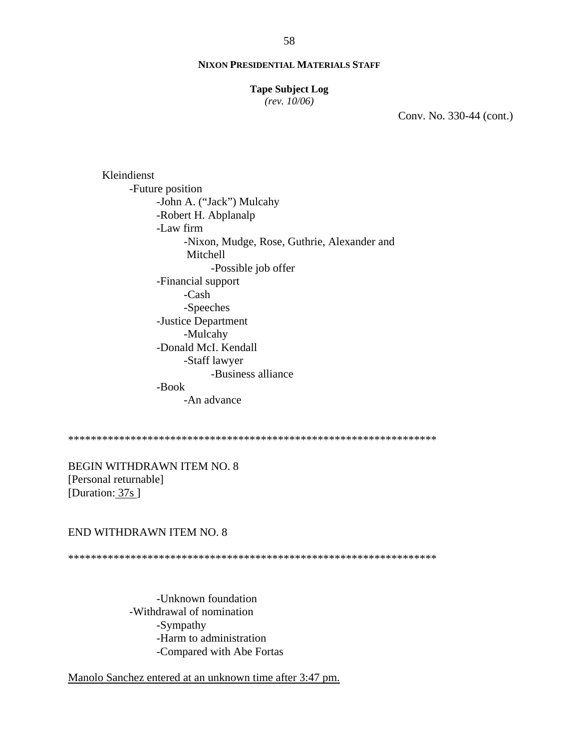#### **Tape Subject Log**

*(rev. 10/06)*

Conv. No. 330-44 (cont.)

Kleindienst -Future position -John A. ("Jack") Mulcahy -Robert H. Abplanalp -Law firm -Nixon, Mudge, Rose, Guthrie, Alexander and Mitchell -Possible job offer -Financial support -Cash -Speeches -Justice Department -Mulcahy -Donald McI. Kendall -Staff lawyer -Business alliance -Book -An advance

\*\*\*\*\*\*\*\*\*\*\*\*\*\*\*\*\*\*\*\*\*\*\*\*\*\*\*\*\*\*\*\*\*\*\*\*\*\*\*\*\*\*\*\*\*\*\*\*\*\*\*\*\*\*\*\*\*\*\*\*\*\*\*\*\*

BEGIN WITHDRAWN ITEM NO. 8 [Personal returnable] [Duration: 37s]

#### END WITHDRAWN ITEM NO. 8

\*\*\*\*\*\*\*\*\*\*\*\*\*\*\*\*\*\*\*\*\*\*\*\*\*\*\*\*\*\*\*\*\*\*\*\*\*\*\*\*\*\*\*\*\*\*\*\*\*\*\*\*\*\*\*\*\*\*\*\*\*\*\*\*\*

-Unknown foundation -Withdrawal of nomination -Sympathy -Harm to administration -Compared with Abe Fortas

Manolo Sanchez entered at an unknown time after 3:47 pm.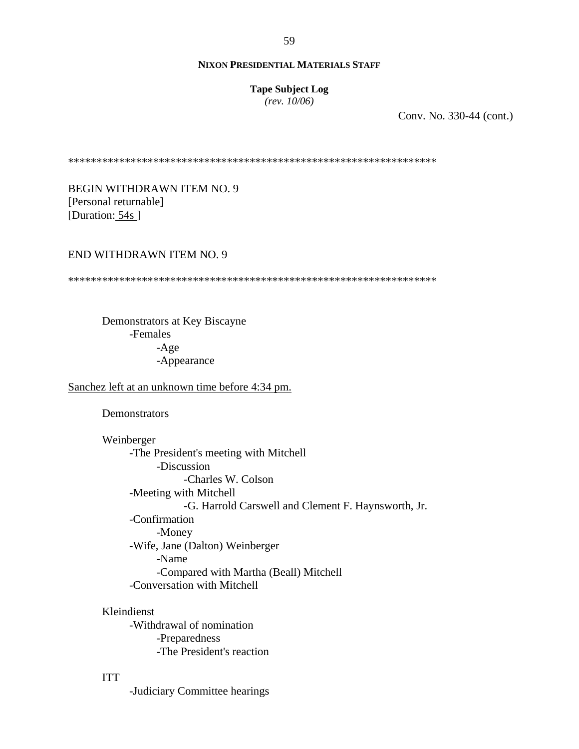**Tape Subject Log**

*(rev. 10/06)*

Conv. No. 330-44 (cont.)

\*\*\*\*\*\*\*\*\*\*\*\*\*\*\*\*\*\*\*\*\*\*\*\*\*\*\*\*\*\*\*\*\*\*\*\*\*\*\*\*\*\*\*\*\*\*\*\*\*\*\*\*\*\*\*\*\*\*\*\*\*\*\*\*\*

BEGIN WITHDRAWN ITEM NO. 9 [Personal returnable] [Duration: 54s]

## END WITHDRAWN ITEM NO. 9

\*\*\*\*\*\*\*\*\*\*\*\*\*\*\*\*\*\*\*\*\*\*\*\*\*\*\*\*\*\*\*\*\*\*\*\*\*\*\*\*\*\*\*\*\*\*\*\*\*\*\*\*\*\*\*\*\*\*\*\*\*\*\*\*\*

Demonstrators at Key Biscayne -Females -Age -Appearance

Sanchez left at an unknown time before 4:34 pm.

**Demonstrators** 

Weinberger -The President's meeting with Mitchell -Discussion -Charles W. Colson -Meeting with Mitchell -G. Harrold Carswell and Clement F. Haynsworth, Jr. -Confirmation -Money -Wife, Jane (Dalton) Weinberger -Name -Compared with Martha (Beall) Mitchell -Conversation with Mitchell

Kleindienst -Withdrawal of nomination -Preparedness -The President's reaction

ITT

-Judiciary Committee hearings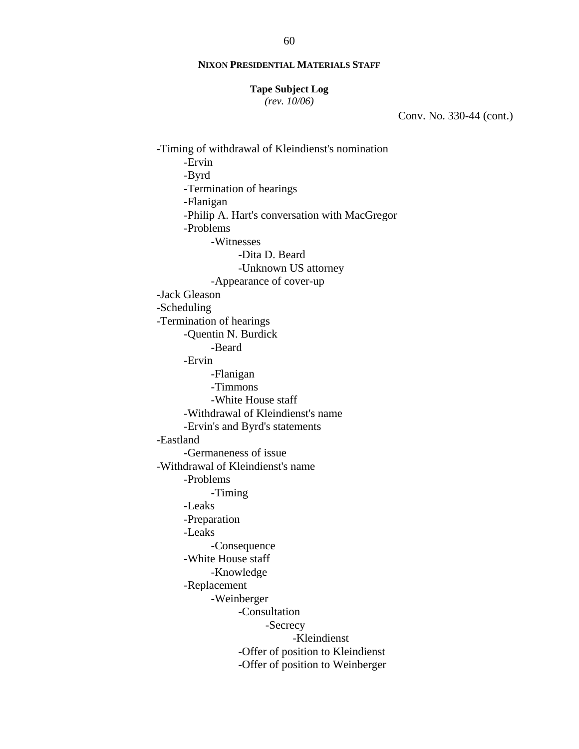#### **Tape Subject Log**

*(rev. 10/06)*

Conv. No. 330-44 (cont.)

-Timing of withdrawal of Kleindienst's nomination -Ervin -Byrd -Termination of hearings -Flanigan -Philip A. Hart's conversation with MacGregor -Problems -Witnesses -Dita D. Beard -Unknown US attorney -Appearance of cover-up -Jack Gleason -Scheduling -Termination of hearings -Quentin N. Burdick -Beard -Ervin -Flanigan -Timmons -White House staff -Withdrawal of Kleindienst's name -Ervin's and Byrd's statements -Eastland -Germaneness of issue -Withdrawal of Kleindienst's name -Problems -Timing -Leaks -Preparation -Leaks -Consequence -White House staff -Knowledge -Replacement -Weinberger -Consultation -Secrecy -Kleindienst -Offer of position to Kleindienst -Offer of position to Weinberger